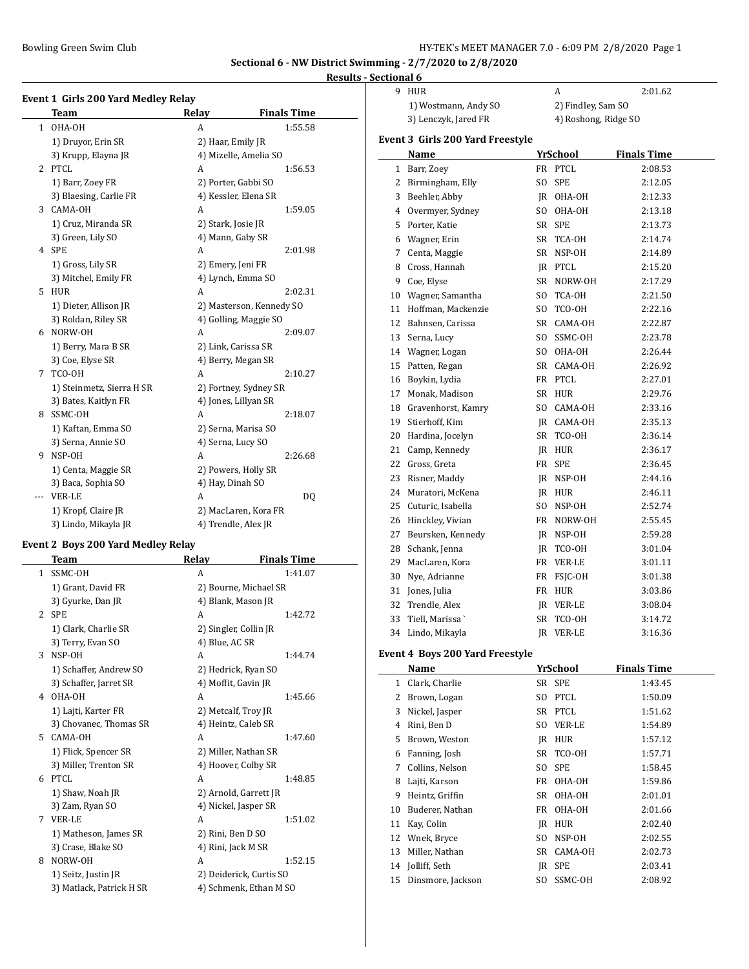$\overline{a}$ 

#### **Results - Sectional 6**

| Event 1 Girls 200 Yard Medley Relay |                           |                     |                          |  |  |
|-------------------------------------|---------------------------|---------------------|--------------------------|--|--|
|                                     | <b>Team</b>               | Relay               | <b>Finals Time</b>       |  |  |
| $\mathbf{1}$                        | OHA-OH                    | A                   | 1:55.58                  |  |  |
|                                     | 1) Druyor, Erin SR        | 2) Haar, Emily JR   |                          |  |  |
|                                     | 3) Krupp, Elayna JR       |                     | 4) Mizelle, Amelia SO    |  |  |
| $\overline{2}$                      | PTCL                      | A                   | 1:56.53                  |  |  |
|                                     | 1) Barr, Zoey FR          |                     | 2) Porter, Gabbi SO      |  |  |
|                                     | 3) Blaesing, Carlie FR    |                     | 4) Kessler, Elena SR     |  |  |
| 3                                   | CAMA-OH                   | А                   | 1:59.05                  |  |  |
|                                     | 1) Cruz, Miranda SR       | 2) Stark, Josie JR  |                          |  |  |
|                                     | 3) Green, Lily SO         | 4) Mann, Gaby SR    |                          |  |  |
| 4                                   | <b>SPE</b>                | A                   | 2:01.98                  |  |  |
|                                     | 1) Gross, Lily SR         | 2) Emery, Jeni FR   |                          |  |  |
|                                     | 3) Mitchel, Emily FR      |                     | 4) Lynch, Emma SO        |  |  |
| 5                                   | <b>HUR</b>                | A                   | 2:02.31                  |  |  |
|                                     | 1) Dieter, Allison JR     |                     | 2) Masterson, Kennedy SO |  |  |
|                                     | 3) Roldan, Riley SR       |                     | 4) Golling, Maggie SO    |  |  |
| 6                                   | NORW-OH                   | A                   | 2:09.07                  |  |  |
|                                     | 1) Berry, Mara B SR       | 2) Link, Carissa SR |                          |  |  |
|                                     | 3) Coe, Elyse SR          |                     | 4) Berry, Megan SR       |  |  |
| 7                                   | TCO-OH                    | A                   | 2:10.27                  |  |  |
|                                     | 1) Steinmetz, Sierra H SR |                     | 2) Fortney, Sydney SR    |  |  |
|                                     | 3) Bates, Kaitlyn FR      |                     | 4) Jones, Lillyan SR     |  |  |
| 8                                   | SSMC-OH                   | A                   | 2:18.07                  |  |  |
|                                     | 1) Kaftan, Emma SO        |                     | 2) Serna, Marisa SO      |  |  |
|                                     | 3) Serna, Annie SO        | 4) Serna, Lucy SO   |                          |  |  |
| 9                                   | NSP-OH                    | А                   | 2:26.68                  |  |  |
|                                     | 1) Centa, Maggie SR       |                     | 2) Powers, Holly SR      |  |  |
|                                     | 3) Baca, Sophia SO        | 4) Hay, Dinah SO    |                          |  |  |
| $\cdots$                            | <b>VER-LE</b>             | А                   | DQ                       |  |  |
|                                     | 1) Kropf, Claire JR       |                     | 2) MacLaren, Kora FR     |  |  |
|                                     | 3) Lindo, Mikayla JR      | 4) Trendle, Alex JR |                          |  |  |

### **Event 2 Boys 200 Yard Medley Relay**

| Team                     | Relay | <b>Finals Time</b>                                                                                                                                                                                                                                                                                   |
|--------------------------|-------|------------------------------------------------------------------------------------------------------------------------------------------------------------------------------------------------------------------------------------------------------------------------------------------------------|
| SSMC-OH                  | A     | 1:41.07                                                                                                                                                                                                                                                                                              |
| 1) Grant, David FR       |       | 2) Bourne, Michael SR                                                                                                                                                                                                                                                                                |
| 3) Gyurke, Dan JR        |       |                                                                                                                                                                                                                                                                                                      |
| <b>SPE</b>               | A     | 1:42.72                                                                                                                                                                                                                                                                                              |
| 1) Clark, Charlie SR     |       |                                                                                                                                                                                                                                                                                                      |
| 3) Terry, Evan SO        |       |                                                                                                                                                                                                                                                                                                      |
| NSP-OH                   | A     | 1:44.74                                                                                                                                                                                                                                                                                              |
| 1) Schaffer, Andrew SO   |       |                                                                                                                                                                                                                                                                                                      |
| 3) Schaffer, Jarret SR   |       |                                                                                                                                                                                                                                                                                                      |
| OHA-OH<br>4              | A     | 1:45.66                                                                                                                                                                                                                                                                                              |
| 1) Lajti, Karter FR      |       |                                                                                                                                                                                                                                                                                                      |
| 3) Chovanec, Thomas SR   |       |                                                                                                                                                                                                                                                                                                      |
| CAMA-OH                  | A     | 1:47.60                                                                                                                                                                                                                                                                                              |
| 1) Flick, Spencer SR     |       |                                                                                                                                                                                                                                                                                                      |
| 3) Miller, Trenton SR    |       |                                                                                                                                                                                                                                                                                                      |
| PTCL                     | A     | 1:48.85                                                                                                                                                                                                                                                                                              |
| 1) Shaw, Noah JR         |       |                                                                                                                                                                                                                                                                                                      |
| 3) Zam, Ryan SO          |       |                                                                                                                                                                                                                                                                                                      |
| <b>VER-LE</b>            | A     | 1:51.02                                                                                                                                                                                                                                                                                              |
| 1) Matheson, James SR    |       |                                                                                                                                                                                                                                                                                                      |
| 3) Crase, Blake SO       |       |                                                                                                                                                                                                                                                                                                      |
| NORW-OH                  | A     | 1:52.15                                                                                                                                                                                                                                                                                              |
| 1) Seitz, Justin JR      |       | 2) Deiderick, Curtis SO                                                                                                                                                                                                                                                                              |
| 3) Matlack, Patrick H SR |       | 4) Schmenk, Ethan M SO                                                                                                                                                                                                                                                                               |
|                          |       | 4) Blank, Mason JR<br>2) Singler, Collin JR<br>4) Blue, AC SR<br>2) Hedrick, Ryan SO<br>4) Moffit, Gavin JR<br>2) Metcalf, Troy JR<br>4) Heintz, Caleb SR<br>2) Miller, Nathan SR<br>4) Hoover, Colby SR<br>2) Arnold, Garrett JR<br>4) Nickel, Jasper SR<br>2) Rini, Ben D SO<br>4) Rini, Jack M SR |

| 9              | HUR                               |     | A                    | 2:01.62            |
|----------------|-----------------------------------|-----|----------------------|--------------------|
|                | 1) Wostmann, Andy SO              |     | 2) Findley, Sam SO   |                    |
|                | 3) Lenczyk, Jared FR              |     | 4) Roshong, Ridge SO |                    |
|                | Event 3  Girls 200 Yard Freestyle |     |                      |                    |
|                | Name                              |     | YrSchool             | <b>Finals Time</b> |
| 1              | Barr, Zoey                        |     | FR PTCL              | 2:08.53            |
| $\overline{2}$ | Birmingham, Elly                  | SO. | <b>SPE</b>           | 2:12.05            |
| 3              | Beehler, Abby                     |     | JR OHA-OH            | 2:12.33            |
| 4              | Overmyer, Sydney                  | SO. | OHA-OH               | 2:13.18            |
| 5              | Porter, Katie                     |     | SR SPE               | 2:13.73            |
| 6              | Wagner, Erin                      |     | SR TCA-OH            | 2:14.74            |
| $7^{\circ}$    | Centa, Maggie                     |     | SR NSP-OH            | 2:14.89            |
| 8              | Cross, Hannah                     |     | IR PTCL              | 2:15.20            |
| 9              | Coe, Elyse                        |     | SR NORW-OH           | 2:17.29            |
| 10             | Wagner, Samantha                  |     | SO TCA-OH            | 2:21.50            |
| 11             | Hoffman, Mackenzie                |     | SO TCO-OH            | 2:22.16            |
| 12             | Bahnsen, Carissa                  |     | SR CAMA-OH           | 2:22.87            |
| 13             | Serna, Lucy                       |     | SO SSMC-OH           | 2:23.78            |
| 14             | Wagner, Logan                     | SO  | OHA-OH               | 2:26.44            |
| 15             | Patten, Regan                     |     | SR CAMA-OH           | 2:26.92            |
| 16             | Boykin, Lydia                     |     | FR PTCL              | 2:27.01            |
| 17             | Monak, Madison                    |     | SR HUR               | 2:29.76            |
| 18             | Gravenhorst, Kamry                |     | SO CAMA-OH           | 2:33.16            |
| 19             | Stierhoff, Kim                    |     | IR CAMA-OH           | 2:35.13            |
| 20             | Hardina, Jocelyn                  |     | SR TCO-OH            | 2:36.14            |
| 21             | Camp, Kennedy                     |     | IR HUR               | 2:36.17            |
| 22             | Gross, Greta                      |     | FR SPE               | 2:36.45            |
| 23             | Risner, Maddy                     |     | <b>IR NSP-OH</b>     | 2:44.16            |
| 24             | Muratori, McKena                  |     | IR HUR               | 2:46.11            |
| 25             | Cuturic, Isabella                 | SO. | NSP-OH               | 2:52.74            |
| 26             | Hinckley, Vivian                  |     | FR NORW-OH           | 2:55.45            |
| 27             | Beursken, Kennedy                 |     | JR NSP-OH            | 2:59.28            |
| 28             | Schank, Jenna                     | IR  | TCO-OH               | 3:01.04            |
| 29             | MacLaren, Kora                    |     | FR VER-LE            | 3:01.11            |
| 30             | Nye, Adrianne                     |     | FR FSJC-OH           | 3:01.38            |
| 31             | Jones, Julia                      |     | FR HUR               | 3:03.86            |
| 32             | Trendle, Alex                     |     | IR VER-LE            | 3:08.04            |
| 33             | Tiell, Marissa                    | SR  | TCO-OH               | 3:14.72            |
| 34             | Lindo, Mikayla                    | IR  | <b>VER-LE</b>        | 3:16.36            |

# **Event 4 Boys 200 Yard Freestyle**

|    | Name              |     | <b>YrSchool</b> | <b>Finals Time</b> |
|----|-------------------|-----|-----------------|--------------------|
| 1  | Clark, Charlie    |     | SR SPE          | 1:43.45            |
| 2  | Brown, Logan      | SO. | PTCL            | 1:50.09            |
| 3  | Nickel, Jasper    |     | SR PTCL         | 1:51.62            |
| 4  | Rini, Ben D       | SO. | <b>VER-LE</b>   | 1:54.89            |
| 5  | Brown, Weston     | IR  | HUR             | 1:57.12            |
| 6  | Fanning, Josh     | SR  | TCO-OH          | 1:57.71            |
| 7  | Collins, Nelson   | SO. | <b>SPE</b>      | 1:58.45            |
| 8  | Lajti, Karson     | FR  | OHA-OH          | 1:59.86            |
| 9  | Heintz, Griffin   | SR  | OHA-OH          | 2:01.01            |
| 10 | Buderer, Nathan   | FR  | OHA-OH          | 2:01.66            |
| 11 | Kay, Colin        | IR  | <b>HUR</b>      | 2:02.40            |
| 12 | Wnek, Bryce       | SO. | NSP-OH          | 2:02.55            |
| 13 | Miller, Nathan    |     | SR CAMA-OH      | 2:02.73            |
|    | 14 Jolliff, Seth  | IR  | <b>SPE</b>      | 2:03.41            |
| 15 | Dinsmore, Jackson | SO. | SSMC-OH         | 2:08.92            |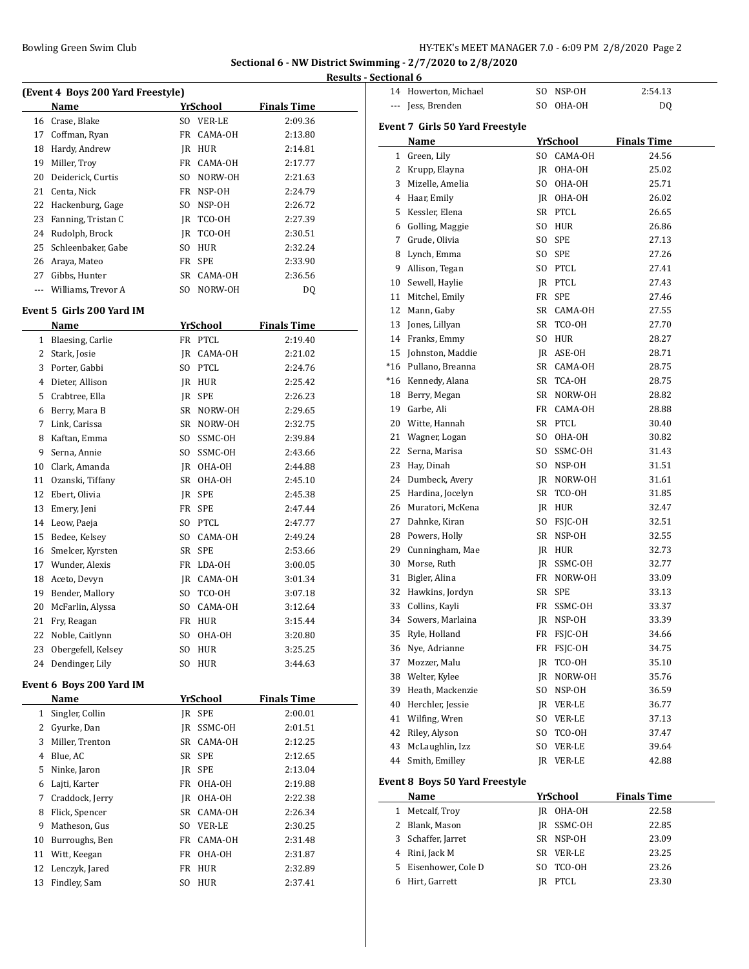**Results - Sectional 6**

| (Event 4 Boys 200 Yard Freestyle)<br><b>Finals Time</b><br>Name<br>YrSchool<br>Crase, Blake<br>VER-LE<br>2:09.36<br>16<br>SO.<br>FR CAMA-OH<br>17 Coffman, Ryan<br>2:13.80<br>Hardy, Andrew<br>18<br>IR HUR<br>2:14.81<br>19<br>Miller, Troy<br>FR CAMA-OH<br>2:17.77<br>20<br>Deiderick, Curtis<br>SO NORW-OH<br>2:21.63<br>21<br>Centa, Nick<br>FR NSP-OH<br>2:24.79<br>22<br>Hackenburg, Gage<br>SO.<br>NSP-OH<br>2:26.72<br>23<br>Fanning, Tristan C<br>JR TCO-OH<br>2:27.39<br>Rudolph, Brock<br>24<br>JR TCO-OH<br>2:30.51<br>25<br>Schleenbaker, Gabe<br>S <sub>0</sub><br>HUR<br>2:32.24<br>26 Araya, Mateo<br>FR<br>SPE<br>2:33.90<br>27 Gibbs, Hunter<br>SR<br>CAMA-OH<br>2:36.56<br>--- Williams, Trevor A<br>SO.<br>NORW-OH<br>DQ<br>Event 5 Girls 200 Yard IM<br>YrSchool<br><b>Finals Time</b><br>Name<br>FR PTCL<br>1 Blaesing, Carlie<br>2:19.40<br>2 Stark, Josie<br>JR CAMA-OH<br>2:21.02<br>3 Porter, Gabbi<br>SO PTCL<br>2:24.76<br>4 Dieter, Allison<br>IR HUR<br>2:25.42<br>Crabtree, Ella<br>IR SPE<br>2:26.23<br>5<br>6 Berry, Mara B<br>SR NORW-OH<br>2:29.65<br>7<br>Link, Carissa<br>SR NORW-OH<br>2:32.75<br>8<br>Kaftan, Emma<br>SO.<br>SSMC-OH<br>2:39.84<br>9<br>Serna, Annie<br>SO.<br>SSMC-OH<br>2:43.66<br>10<br>Clark, Amanda<br>JR OHA-OH<br>2:44.88<br>11<br>Ozanski, Tiffany<br>SR OHA-OH<br>2:45.10<br>12<br>Ebert, Olivia<br>JR SPE<br>2:45.38<br>13<br>Emery, Jeni<br>FR SPE<br>2:47.44<br>14<br>Leow, Paeja<br>SO PTCL<br>2:47.77<br>Bedee, Kelsey<br>SO CAMA-OH<br>15<br>2:49.24<br>Smelcer, Kyrsten<br>SR SPE<br>16<br>2:53.66<br>17<br>Wunder, Alexis<br>FR LDA-OH<br>3:00.05<br>18<br>Aceto, Devyn<br>JR CAMA-OH<br>3:01.34<br>Bender, Mallory<br>19<br>SO TCO-OH<br>3:07.18<br>McFarlin, Alyssa<br>CAMA-OH<br>20<br>S <sub>0</sub><br>3:12.64<br>21<br>Fry, Reagan<br>FR<br>HUR<br>3:15.44<br>22<br>Noble, Caitlynn<br>SO.<br>OHA-OH<br>3:20.80<br>23<br>Obergefell, Kelsey<br>SO.<br><b>HUR</b><br>3:25.25<br>Dendinger, Lily<br>24<br>SO.<br>HUR<br>3:44.63<br>Event 6 Boys 200 Yard IM<br>YrSchool<br><b>Finals Time</b><br>Name<br>Singler, Collin<br>JR SPE<br>2:00.01<br>$\mathbf{1}$<br>2 Gyurke, Dan<br>JR SSMC-OH<br>2:01.51<br>Miller, Trenton<br>3<br>SR CAMA-OH<br>2:12.25<br>Blue, AC<br>SR SPE<br>2:12.65<br>4<br>5<br>Ninke, Jaron<br>JR SPE<br>2:13.04<br>Lajti, Karter<br>FR OHA-OH<br>6<br>2:19.88<br>Craddock, Jerry<br>7<br>IR<br>OHA-OH<br>2:22.38<br>8<br>Flick, Spencer<br>SR CAMA-OH<br>2:26.34<br>Matheson, Gus<br>9<br>SO VER-LE<br>2:30.25<br>Burroughs, Ben<br>10<br>FR<br>CAMA-OH<br>2:31.48<br>11<br>Witt, Keegan<br>FR<br>OHA-OH<br>2:31.87<br>12<br>Lenczyk, Jared<br>HUR<br>FR<br>2:32.89<br>Findley, Sam<br>13<br>SO.<br>HUR<br>2:37.41 |  |  | <b>Results</b> |
|--------------------------------------------------------------------------------------------------------------------------------------------------------------------------------------------------------------------------------------------------------------------------------------------------------------------------------------------------------------------------------------------------------------------------------------------------------------------------------------------------------------------------------------------------------------------------------------------------------------------------------------------------------------------------------------------------------------------------------------------------------------------------------------------------------------------------------------------------------------------------------------------------------------------------------------------------------------------------------------------------------------------------------------------------------------------------------------------------------------------------------------------------------------------------------------------------------------------------------------------------------------------------------------------------------------------------------------------------------------------------------------------------------------------------------------------------------------------------------------------------------------------------------------------------------------------------------------------------------------------------------------------------------------------------------------------------------------------------------------------------------------------------------------------------------------------------------------------------------------------------------------------------------------------------------------------------------------------------------------------------------------------------------------------------------------------------------------------------------------------------------------------------------------------------------------------------------------------------------------------------------------------------------------------------------------------------------------------------------------------------------------------------------------------------------------------------------------------------------------------------------------------------------------------------------------------------------------------------------------------------------------------------------------------------------------------------------------------------|--|--|----------------|
|                                                                                                                                                                                                                                                                                                                                                                                                                                                                                                                                                                                                                                                                                                                                                                                                                                                                                                                                                                                                                                                                                                                                                                                                                                                                                                                                                                                                                                                                                                                                                                                                                                                                                                                                                                                                                                                                                                                                                                                                                                                                                                                                                                                                                                                                                                                                                                                                                                                                                                                                                                                                                                                                                                                          |  |  |                |
|                                                                                                                                                                                                                                                                                                                                                                                                                                                                                                                                                                                                                                                                                                                                                                                                                                                                                                                                                                                                                                                                                                                                                                                                                                                                                                                                                                                                                                                                                                                                                                                                                                                                                                                                                                                                                                                                                                                                                                                                                                                                                                                                                                                                                                                                                                                                                                                                                                                                                                                                                                                                                                                                                                                          |  |  |                |
|                                                                                                                                                                                                                                                                                                                                                                                                                                                                                                                                                                                                                                                                                                                                                                                                                                                                                                                                                                                                                                                                                                                                                                                                                                                                                                                                                                                                                                                                                                                                                                                                                                                                                                                                                                                                                                                                                                                                                                                                                                                                                                                                                                                                                                                                                                                                                                                                                                                                                                                                                                                                                                                                                                                          |  |  |                |
|                                                                                                                                                                                                                                                                                                                                                                                                                                                                                                                                                                                                                                                                                                                                                                                                                                                                                                                                                                                                                                                                                                                                                                                                                                                                                                                                                                                                                                                                                                                                                                                                                                                                                                                                                                                                                                                                                                                                                                                                                                                                                                                                                                                                                                                                                                                                                                                                                                                                                                                                                                                                                                                                                                                          |  |  |                |
|                                                                                                                                                                                                                                                                                                                                                                                                                                                                                                                                                                                                                                                                                                                                                                                                                                                                                                                                                                                                                                                                                                                                                                                                                                                                                                                                                                                                                                                                                                                                                                                                                                                                                                                                                                                                                                                                                                                                                                                                                                                                                                                                                                                                                                                                                                                                                                                                                                                                                                                                                                                                                                                                                                                          |  |  |                |
|                                                                                                                                                                                                                                                                                                                                                                                                                                                                                                                                                                                                                                                                                                                                                                                                                                                                                                                                                                                                                                                                                                                                                                                                                                                                                                                                                                                                                                                                                                                                                                                                                                                                                                                                                                                                                                                                                                                                                                                                                                                                                                                                                                                                                                                                                                                                                                                                                                                                                                                                                                                                                                                                                                                          |  |  |                |
|                                                                                                                                                                                                                                                                                                                                                                                                                                                                                                                                                                                                                                                                                                                                                                                                                                                                                                                                                                                                                                                                                                                                                                                                                                                                                                                                                                                                                                                                                                                                                                                                                                                                                                                                                                                                                                                                                                                                                                                                                                                                                                                                                                                                                                                                                                                                                                                                                                                                                                                                                                                                                                                                                                                          |  |  |                |
|                                                                                                                                                                                                                                                                                                                                                                                                                                                                                                                                                                                                                                                                                                                                                                                                                                                                                                                                                                                                                                                                                                                                                                                                                                                                                                                                                                                                                                                                                                                                                                                                                                                                                                                                                                                                                                                                                                                                                                                                                                                                                                                                                                                                                                                                                                                                                                                                                                                                                                                                                                                                                                                                                                                          |  |  |                |
|                                                                                                                                                                                                                                                                                                                                                                                                                                                                                                                                                                                                                                                                                                                                                                                                                                                                                                                                                                                                                                                                                                                                                                                                                                                                                                                                                                                                                                                                                                                                                                                                                                                                                                                                                                                                                                                                                                                                                                                                                                                                                                                                                                                                                                                                                                                                                                                                                                                                                                                                                                                                                                                                                                                          |  |  |                |
|                                                                                                                                                                                                                                                                                                                                                                                                                                                                                                                                                                                                                                                                                                                                                                                                                                                                                                                                                                                                                                                                                                                                                                                                                                                                                                                                                                                                                                                                                                                                                                                                                                                                                                                                                                                                                                                                                                                                                                                                                                                                                                                                                                                                                                                                                                                                                                                                                                                                                                                                                                                                                                                                                                                          |  |  |                |
|                                                                                                                                                                                                                                                                                                                                                                                                                                                                                                                                                                                                                                                                                                                                                                                                                                                                                                                                                                                                                                                                                                                                                                                                                                                                                                                                                                                                                                                                                                                                                                                                                                                                                                                                                                                                                                                                                                                                                                                                                                                                                                                                                                                                                                                                                                                                                                                                                                                                                                                                                                                                                                                                                                                          |  |  |                |
|                                                                                                                                                                                                                                                                                                                                                                                                                                                                                                                                                                                                                                                                                                                                                                                                                                                                                                                                                                                                                                                                                                                                                                                                                                                                                                                                                                                                                                                                                                                                                                                                                                                                                                                                                                                                                                                                                                                                                                                                                                                                                                                                                                                                                                                                                                                                                                                                                                                                                                                                                                                                                                                                                                                          |  |  |                |
|                                                                                                                                                                                                                                                                                                                                                                                                                                                                                                                                                                                                                                                                                                                                                                                                                                                                                                                                                                                                                                                                                                                                                                                                                                                                                                                                                                                                                                                                                                                                                                                                                                                                                                                                                                                                                                                                                                                                                                                                                                                                                                                                                                                                                                                                                                                                                                                                                                                                                                                                                                                                                                                                                                                          |  |  |                |
|                                                                                                                                                                                                                                                                                                                                                                                                                                                                                                                                                                                                                                                                                                                                                                                                                                                                                                                                                                                                                                                                                                                                                                                                                                                                                                                                                                                                                                                                                                                                                                                                                                                                                                                                                                                                                                                                                                                                                                                                                                                                                                                                                                                                                                                                                                                                                                                                                                                                                                                                                                                                                                                                                                                          |  |  |                |
|                                                                                                                                                                                                                                                                                                                                                                                                                                                                                                                                                                                                                                                                                                                                                                                                                                                                                                                                                                                                                                                                                                                                                                                                                                                                                                                                                                                                                                                                                                                                                                                                                                                                                                                                                                                                                                                                                                                                                                                                                                                                                                                                                                                                                                                                                                                                                                                                                                                                                                                                                                                                                                                                                                                          |  |  |                |
|                                                                                                                                                                                                                                                                                                                                                                                                                                                                                                                                                                                                                                                                                                                                                                                                                                                                                                                                                                                                                                                                                                                                                                                                                                                                                                                                                                                                                                                                                                                                                                                                                                                                                                                                                                                                                                                                                                                                                                                                                                                                                                                                                                                                                                                                                                                                                                                                                                                                                                                                                                                                                                                                                                                          |  |  |                |
|                                                                                                                                                                                                                                                                                                                                                                                                                                                                                                                                                                                                                                                                                                                                                                                                                                                                                                                                                                                                                                                                                                                                                                                                                                                                                                                                                                                                                                                                                                                                                                                                                                                                                                                                                                                                                                                                                                                                                                                                                                                                                                                                                                                                                                                                                                                                                                                                                                                                                                                                                                                                                                                                                                                          |  |  |                |
|                                                                                                                                                                                                                                                                                                                                                                                                                                                                                                                                                                                                                                                                                                                                                                                                                                                                                                                                                                                                                                                                                                                                                                                                                                                                                                                                                                                                                                                                                                                                                                                                                                                                                                                                                                                                                                                                                                                                                                                                                                                                                                                                                                                                                                                                                                                                                                                                                                                                                                                                                                                                                                                                                                                          |  |  |                |
|                                                                                                                                                                                                                                                                                                                                                                                                                                                                                                                                                                                                                                                                                                                                                                                                                                                                                                                                                                                                                                                                                                                                                                                                                                                                                                                                                                                                                                                                                                                                                                                                                                                                                                                                                                                                                                                                                                                                                                                                                                                                                                                                                                                                                                                                                                                                                                                                                                                                                                                                                                                                                                                                                                                          |  |  |                |
|                                                                                                                                                                                                                                                                                                                                                                                                                                                                                                                                                                                                                                                                                                                                                                                                                                                                                                                                                                                                                                                                                                                                                                                                                                                                                                                                                                                                                                                                                                                                                                                                                                                                                                                                                                                                                                                                                                                                                                                                                                                                                                                                                                                                                                                                                                                                                                                                                                                                                                                                                                                                                                                                                                                          |  |  |                |
|                                                                                                                                                                                                                                                                                                                                                                                                                                                                                                                                                                                                                                                                                                                                                                                                                                                                                                                                                                                                                                                                                                                                                                                                                                                                                                                                                                                                                                                                                                                                                                                                                                                                                                                                                                                                                                                                                                                                                                                                                                                                                                                                                                                                                                                                                                                                                                                                                                                                                                                                                                                                                                                                                                                          |  |  |                |
|                                                                                                                                                                                                                                                                                                                                                                                                                                                                                                                                                                                                                                                                                                                                                                                                                                                                                                                                                                                                                                                                                                                                                                                                                                                                                                                                                                                                                                                                                                                                                                                                                                                                                                                                                                                                                                                                                                                                                                                                                                                                                                                                                                                                                                                                                                                                                                                                                                                                                                                                                                                                                                                                                                                          |  |  |                |
|                                                                                                                                                                                                                                                                                                                                                                                                                                                                                                                                                                                                                                                                                                                                                                                                                                                                                                                                                                                                                                                                                                                                                                                                                                                                                                                                                                                                                                                                                                                                                                                                                                                                                                                                                                                                                                                                                                                                                                                                                                                                                                                                                                                                                                                                                                                                                                                                                                                                                                                                                                                                                                                                                                                          |  |  |                |
|                                                                                                                                                                                                                                                                                                                                                                                                                                                                                                                                                                                                                                                                                                                                                                                                                                                                                                                                                                                                                                                                                                                                                                                                                                                                                                                                                                                                                                                                                                                                                                                                                                                                                                                                                                                                                                                                                                                                                                                                                                                                                                                                                                                                                                                                                                                                                                                                                                                                                                                                                                                                                                                                                                                          |  |  |                |
|                                                                                                                                                                                                                                                                                                                                                                                                                                                                                                                                                                                                                                                                                                                                                                                                                                                                                                                                                                                                                                                                                                                                                                                                                                                                                                                                                                                                                                                                                                                                                                                                                                                                                                                                                                                                                                                                                                                                                                                                                                                                                                                                                                                                                                                                                                                                                                                                                                                                                                                                                                                                                                                                                                                          |  |  |                |
|                                                                                                                                                                                                                                                                                                                                                                                                                                                                                                                                                                                                                                                                                                                                                                                                                                                                                                                                                                                                                                                                                                                                                                                                                                                                                                                                                                                                                                                                                                                                                                                                                                                                                                                                                                                                                                                                                                                                                                                                                                                                                                                                                                                                                                                                                                                                                                                                                                                                                                                                                                                                                                                                                                                          |  |  |                |
|                                                                                                                                                                                                                                                                                                                                                                                                                                                                                                                                                                                                                                                                                                                                                                                                                                                                                                                                                                                                                                                                                                                                                                                                                                                                                                                                                                                                                                                                                                                                                                                                                                                                                                                                                                                                                                                                                                                                                                                                                                                                                                                                                                                                                                                                                                                                                                                                                                                                                                                                                                                                                                                                                                                          |  |  |                |
|                                                                                                                                                                                                                                                                                                                                                                                                                                                                                                                                                                                                                                                                                                                                                                                                                                                                                                                                                                                                                                                                                                                                                                                                                                                                                                                                                                                                                                                                                                                                                                                                                                                                                                                                                                                                                                                                                                                                                                                                                                                                                                                                                                                                                                                                                                                                                                                                                                                                                                                                                                                                                                                                                                                          |  |  |                |
|                                                                                                                                                                                                                                                                                                                                                                                                                                                                                                                                                                                                                                                                                                                                                                                                                                                                                                                                                                                                                                                                                                                                                                                                                                                                                                                                                                                                                                                                                                                                                                                                                                                                                                                                                                                                                                                                                                                                                                                                                                                                                                                                                                                                                                                                                                                                                                                                                                                                                                                                                                                                                                                                                                                          |  |  |                |
|                                                                                                                                                                                                                                                                                                                                                                                                                                                                                                                                                                                                                                                                                                                                                                                                                                                                                                                                                                                                                                                                                                                                                                                                                                                                                                                                                                                                                                                                                                                                                                                                                                                                                                                                                                                                                                                                                                                                                                                                                                                                                                                                                                                                                                                                                                                                                                                                                                                                                                                                                                                                                                                                                                                          |  |  |                |
|                                                                                                                                                                                                                                                                                                                                                                                                                                                                                                                                                                                                                                                                                                                                                                                                                                                                                                                                                                                                                                                                                                                                                                                                                                                                                                                                                                                                                                                                                                                                                                                                                                                                                                                                                                                                                                                                                                                                                                                                                                                                                                                                                                                                                                                                                                                                                                                                                                                                                                                                                                                                                                                                                                                          |  |  |                |
|                                                                                                                                                                                                                                                                                                                                                                                                                                                                                                                                                                                                                                                                                                                                                                                                                                                                                                                                                                                                                                                                                                                                                                                                                                                                                                                                                                                                                                                                                                                                                                                                                                                                                                                                                                                                                                                                                                                                                                                                                                                                                                                                                                                                                                                                                                                                                                                                                                                                                                                                                                                                                                                                                                                          |  |  |                |
|                                                                                                                                                                                                                                                                                                                                                                                                                                                                                                                                                                                                                                                                                                                                                                                                                                                                                                                                                                                                                                                                                                                                                                                                                                                                                                                                                                                                                                                                                                                                                                                                                                                                                                                                                                                                                                                                                                                                                                                                                                                                                                                                                                                                                                                                                                                                                                                                                                                                                                                                                                                                                                                                                                                          |  |  |                |
|                                                                                                                                                                                                                                                                                                                                                                                                                                                                                                                                                                                                                                                                                                                                                                                                                                                                                                                                                                                                                                                                                                                                                                                                                                                                                                                                                                                                                                                                                                                                                                                                                                                                                                                                                                                                                                                                                                                                                                                                                                                                                                                                                                                                                                                                                                                                                                                                                                                                                                                                                                                                                                                                                                                          |  |  |                |
|                                                                                                                                                                                                                                                                                                                                                                                                                                                                                                                                                                                                                                                                                                                                                                                                                                                                                                                                                                                                                                                                                                                                                                                                                                                                                                                                                                                                                                                                                                                                                                                                                                                                                                                                                                                                                                                                                                                                                                                                                                                                                                                                                                                                                                                                                                                                                                                                                                                                                                                                                                                                                                                                                                                          |  |  |                |
|                                                                                                                                                                                                                                                                                                                                                                                                                                                                                                                                                                                                                                                                                                                                                                                                                                                                                                                                                                                                                                                                                                                                                                                                                                                                                                                                                                                                                                                                                                                                                                                                                                                                                                                                                                                                                                                                                                                                                                                                                                                                                                                                                                                                                                                                                                                                                                                                                                                                                                                                                                                                                                                                                                                          |  |  |                |
|                                                                                                                                                                                                                                                                                                                                                                                                                                                                                                                                                                                                                                                                                                                                                                                                                                                                                                                                                                                                                                                                                                                                                                                                                                                                                                                                                                                                                                                                                                                                                                                                                                                                                                                                                                                                                                                                                                                                                                                                                                                                                                                                                                                                                                                                                                                                                                                                                                                                                                                                                                                                                                                                                                                          |  |  |                |
|                                                                                                                                                                                                                                                                                                                                                                                                                                                                                                                                                                                                                                                                                                                                                                                                                                                                                                                                                                                                                                                                                                                                                                                                                                                                                                                                                                                                                                                                                                                                                                                                                                                                                                                                                                                                                                                                                                                                                                                                                                                                                                                                                                                                                                                                                                                                                                                                                                                                                                                                                                                                                                                                                                                          |  |  |                |
|                                                                                                                                                                                                                                                                                                                                                                                                                                                                                                                                                                                                                                                                                                                                                                                                                                                                                                                                                                                                                                                                                                                                                                                                                                                                                                                                                                                                                                                                                                                                                                                                                                                                                                                                                                                                                                                                                                                                                                                                                                                                                                                                                                                                                                                                                                                                                                                                                                                                                                                                                                                                                                                                                                                          |  |  |                |
|                                                                                                                                                                                                                                                                                                                                                                                                                                                                                                                                                                                                                                                                                                                                                                                                                                                                                                                                                                                                                                                                                                                                                                                                                                                                                                                                                                                                                                                                                                                                                                                                                                                                                                                                                                                                                                                                                                                                                                                                                                                                                                                                                                                                                                                                                                                                                                                                                                                                                                                                                                                                                                                                                                                          |  |  |                |
|                                                                                                                                                                                                                                                                                                                                                                                                                                                                                                                                                                                                                                                                                                                                                                                                                                                                                                                                                                                                                                                                                                                                                                                                                                                                                                                                                                                                                                                                                                                                                                                                                                                                                                                                                                                                                                                                                                                                                                                                                                                                                                                                                                                                                                                                                                                                                                                                                                                                                                                                                                                                                                                                                                                          |  |  |                |
|                                                                                                                                                                                                                                                                                                                                                                                                                                                                                                                                                                                                                                                                                                                                                                                                                                                                                                                                                                                                                                                                                                                                                                                                                                                                                                                                                                                                                                                                                                                                                                                                                                                                                                                                                                                                                                                                                                                                                                                                                                                                                                                                                                                                                                                                                                                                                                                                                                                                                                                                                                                                                                                                                                                          |  |  |                |
|                                                                                                                                                                                                                                                                                                                                                                                                                                                                                                                                                                                                                                                                                                                                                                                                                                                                                                                                                                                                                                                                                                                                                                                                                                                                                                                                                                                                                                                                                                                                                                                                                                                                                                                                                                                                                                                                                                                                                                                                                                                                                                                                                                                                                                                                                                                                                                                                                                                                                                                                                                                                                                                                                                                          |  |  |                |
|                                                                                                                                                                                                                                                                                                                                                                                                                                                                                                                                                                                                                                                                                                                                                                                                                                                                                                                                                                                                                                                                                                                                                                                                                                                                                                                                                                                                                                                                                                                                                                                                                                                                                                                                                                                                                                                                                                                                                                                                                                                                                                                                                                                                                                                                                                                                                                                                                                                                                                                                                                                                                                                                                                                          |  |  |                |
|                                                                                                                                                                                                                                                                                                                                                                                                                                                                                                                                                                                                                                                                                                                                                                                                                                                                                                                                                                                                                                                                                                                                                                                                                                                                                                                                                                                                                                                                                                                                                                                                                                                                                                                                                                                                                                                                                                                                                                                                                                                                                                                                                                                                                                                                                                                                                                                                                                                                                                                                                                                                                                                                                                                          |  |  |                |
|                                                                                                                                                                                                                                                                                                                                                                                                                                                                                                                                                                                                                                                                                                                                                                                                                                                                                                                                                                                                                                                                                                                                                                                                                                                                                                                                                                                                                                                                                                                                                                                                                                                                                                                                                                                                                                                                                                                                                                                                                                                                                                                                                                                                                                                                                                                                                                                                                                                                                                                                                                                                                                                                                                                          |  |  |                |
|                                                                                                                                                                                                                                                                                                                                                                                                                                                                                                                                                                                                                                                                                                                                                                                                                                                                                                                                                                                                                                                                                                                                                                                                                                                                                                                                                                                                                                                                                                                                                                                                                                                                                                                                                                                                                                                                                                                                                                                                                                                                                                                                                                                                                                                                                                                                                                                                                                                                                                                                                                                                                                                                                                                          |  |  |                |
|                                                                                                                                                                                                                                                                                                                                                                                                                                                                                                                                                                                                                                                                                                                                                                                                                                                                                                                                                                                                                                                                                                                                                                                                                                                                                                                                                                                                                                                                                                                                                                                                                                                                                                                                                                                                                                                                                                                                                                                                                                                                                                                                                                                                                                                                                                                                                                                                                                                                                                                                                                                                                                                                                                                          |  |  |                |
|                                                                                                                                                                                                                                                                                                                                                                                                                                                                                                                                                                                                                                                                                                                                                                                                                                                                                                                                                                                                                                                                                                                                                                                                                                                                                                                                                                                                                                                                                                                                                                                                                                                                                                                                                                                                                                                                                                                                                                                                                                                                                                                                                                                                                                                                                                                                                                                                                                                                                                                                                                                                                                                                                                                          |  |  |                |
|                                                                                                                                                                                                                                                                                                                                                                                                                                                                                                                                                                                                                                                                                                                                                                                                                                                                                                                                                                                                                                                                                                                                                                                                                                                                                                                                                                                                                                                                                                                                                                                                                                                                                                                                                                                                                                                                                                                                                                                                                                                                                                                                                                                                                                                                                                                                                                                                                                                                                                                                                                                                                                                                                                                          |  |  |                |
|                                                                                                                                                                                                                                                                                                                                                                                                                                                                                                                                                                                                                                                                                                                                                                                                                                                                                                                                                                                                                                                                                                                                                                                                                                                                                                                                                                                                                                                                                                                                                                                                                                                                                                                                                                                                                                                                                                                                                                                                                                                                                                                                                                                                                                                                                                                                                                                                                                                                                                                                                                                                                                                                                                                          |  |  |                |
|                                                                                                                                                                                                                                                                                                                                                                                                                                                                                                                                                                                                                                                                                                                                                                                                                                                                                                                                                                                                                                                                                                                                                                                                                                                                                                                                                                                                                                                                                                                                                                                                                                                                                                                                                                                                                                                                                                                                                                                                                                                                                                                                                                                                                                                                                                                                                                                                                                                                                                                                                                                                                                                                                                                          |  |  |                |
|                                                                                                                                                                                                                                                                                                                                                                                                                                                                                                                                                                                                                                                                                                                                                                                                                                                                                                                                                                                                                                                                                                                                                                                                                                                                                                                                                                                                                                                                                                                                                                                                                                                                                                                                                                                                                                                                                                                                                                                                                                                                                                                                                                                                                                                                                                                                                                                                                                                                                                                                                                                                                                                                                                                          |  |  |                |
|                                                                                                                                                                                                                                                                                                                                                                                                                                                                                                                                                                                                                                                                                                                                                                                                                                                                                                                                                                                                                                                                                                                                                                                                                                                                                                                                                                                                                                                                                                                                                                                                                                                                                                                                                                                                                                                                                                                                                                                                                                                                                                                                                                                                                                                                                                                                                                                                                                                                                                                                                                                                                                                                                                                          |  |  |                |
|                                                                                                                                                                                                                                                                                                                                                                                                                                                                                                                                                                                                                                                                                                                                                                                                                                                                                                                                                                                                                                                                                                                                                                                                                                                                                                                                                                                                                                                                                                                                                                                                                                                                                                                                                                                                                                                                                                                                                                                                                                                                                                                                                                                                                                                                                                                                                                                                                                                                                                                                                                                                                                                                                                                          |  |  |                |
|                                                                                                                                                                                                                                                                                                                                                                                                                                                                                                                                                                                                                                                                                                                                                                                                                                                                                                                                                                                                                                                                                                                                                                                                                                                                                                                                                                                                                                                                                                                                                                                                                                                                                                                                                                                                                                                                                                                                                                                                                                                                                                                                                                                                                                                                                                                                                                                                                                                                                                                                                                                                                                                                                                                          |  |  |                |
|                                                                                                                                                                                                                                                                                                                                                                                                                                                                                                                                                                                                                                                                                                                                                                                                                                                                                                                                                                                                                                                                                                                                                                                                                                                                                                                                                                                                                                                                                                                                                                                                                                                                                                                                                                                                                                                                                                                                                                                                                                                                                                                                                                                                                                                                                                                                                                                                                                                                                                                                                                                                                                                                                                                          |  |  |                |
|                                                                                                                                                                                                                                                                                                                                                                                                                                                                                                                                                                                                                                                                                                                                                                                                                                                                                                                                                                                                                                                                                                                                                                                                                                                                                                                                                                                                                                                                                                                                                                                                                                                                                                                                                                                                                                                                                                                                                                                                                                                                                                                                                                                                                                                                                                                                                                                                                                                                                                                                                                                                                                                                                                                          |  |  |                |
|                                                                                                                                                                                                                                                                                                                                                                                                                                                                                                                                                                                                                                                                                                                                                                                                                                                                                                                                                                                                                                                                                                                                                                                                                                                                                                                                                                                                                                                                                                                                                                                                                                                                                                                                                                                                                                                                                                                                                                                                                                                                                                                                                                                                                                                                                                                                                                                                                                                                                                                                                                                                                                                                                                                          |  |  |                |

| 14  | Howerton, Michael                     | SO. | NSP-OH     | 2:54.13            |
|-----|---------------------------------------|-----|------------|--------------------|
| --- | Jess, Brenden                         |     | SO OHA-OH  | DQ                 |
|     |                                       |     |            |                    |
|     | Event 7 Girls 50 Yard Freestyle       |     |            |                    |
|     | Name                                  |     | YrSchool   | <b>Finals Time</b> |
|     | 1 Green, Lily                         |     | SO CAMA-OH | 24.56              |
|     | 2 Krupp, Elayna                       |     | IR OHA-OH  | 25.02              |
| 3   | Mizelle, Amelia                       |     | SO OHA-OH  | 25.71              |
| 4   | Haar, Emily                           |     | JR OHA-OH  | 26.02              |
| 5   | Kessler, Elena                        |     | SR PTCL    | 26.65              |
| 6   | Golling, Maggie                       |     | SO HUR     | 26.86              |
| 7   | Grude, Olivia                         | SO  | <b>SPE</b> | 27.13              |
| 8   | Lynch, Emma                           |     | SO SPE     | 27.26              |
| 9.  | Allison, Tegan                        |     | SO PTCL    | 27.41              |
|     | 10 Sewell, Haylie                     |     | JR PTCL    | 27.43              |
| 11  | Mitchel, Emily                        | FR  | <b>SPE</b> | 27.46              |
| 12  | Mann, Gaby                            |     | SR CAMA-OH | 27.55              |
| 13  | Jones, Lillyan                        |     | SR TCO-OH  | 27.70              |
|     | 14 Franks, Emmy                       |     | SO HUR     | 28.27              |
| 15  | Johnston, Maddie                      |     | JR ASE-OH  | 28.71              |
|     | *16 Pullano, Breanna                  |     | SR CAMA-OH | 28.75              |
|     | *16 Kennedy, Alana                    |     | SR TCA-OH  | 28.75              |
|     | 18 Berry, Megan                       |     | SR NORW-OH | 28.82              |
|     | 19 Garbe, Ali                         |     | FR CAMA-OH | 28.88              |
|     | 20 Witte, Hannah                      |     | SR PTCL    | 30.40              |
|     | 21 Wagner, Logan                      |     | SO OHA-OH  | 30.82              |
|     | 22 Serna, Marisa                      |     | SO SSMC-OH | 31.43              |
|     | 23 Hay, Dinah                         |     | SO NSP-OH  | 31.51              |
|     | 24 Dumbeck, Avery                     |     | JR NORW-OH | 31.61              |
| 25  | Hardina, Jocelyn                      |     | SR TCO-OH  | 31.85              |
|     | 26 Muratori, McKena                   |     | JR HUR     | 32.47              |
| 27  | Dahnke, Kiran                         |     | SO FSJC-OH | 32.51              |
| 28  | Powers, Holly                         |     | SR NSP-OH  | 32.55              |
| 29  | Cunningham, Mae                       |     | JR HUR     | 32.73              |
| 30  | Morse, Ruth                           |     | JR SSMC-OH | 32.77              |
| 31  | Bigler, Alina                         |     | FR NORW-OH | 33.09              |
| 32  | Hawkins, Jordyn                       | SR  | <b>SPE</b> | 33.13              |
| 33  | Collins, Kayli                        | FR  | SSMC-OH    | 33.37              |
|     | 34 Sowers, Marlaina                   | JR. | NSP-OH     | 33.39              |
| 35  | Ryle, Holland                         |     | FR FSJC-OH | 34.66              |
|     | 36 Nye, Adrianne                      | FR  | FSJC-OH    | 34.75              |
| 37  | Mozzer, Malu                          | JR  | TCO-OH     | 35.10              |
|     | 38 Welter, Kylee                      | JR  | NORW-OH    | 35.76              |
| 39  | Heath, Mackenzie                      | SO. | NSP-OH     | 36.59              |
| 40  | Herchler, Jessie                      |     | JR VER-LE  | 36.77              |
| 41  | Wilfing, Wren                         | SO  | VER-LE     | 37.13              |
| 42  | Riley, Alyson                         | SO. | TCO-OH     | 37.47              |
| 43  | McLaughlin, Izz                       | SO  | VER-LE     | 39.64              |
| 44  | Smith, Emilley                        | JR  | VER-LE     | 42.88              |
|     | <b>Event 8 Boys 50 Yard Freestyle</b> |     |            |                    |
|     | Name                                  |     | YrSchool   | <b>Finals Time</b> |
| 1   | Metcalf, Troy                         | JR. | OHA-OH     | 22.58              |
| 2   | Blank, Mason                          | JR. | SSMC-OH    | 22.85              |
| 3   | Schaffer, Jarret                      | SR  | NSP-OH     | 23.09              |
|     | 4 Rini, Jack M                        |     | SR VER-LE  | 23.25              |
| 5   | Eisenhower, Cole D                    | SO. | TCO-OH     | 23.26              |
| 6   | Hirt, Garrett                         | JR  | PTCL       | 23.30              |
|     |                                       |     |            |                    |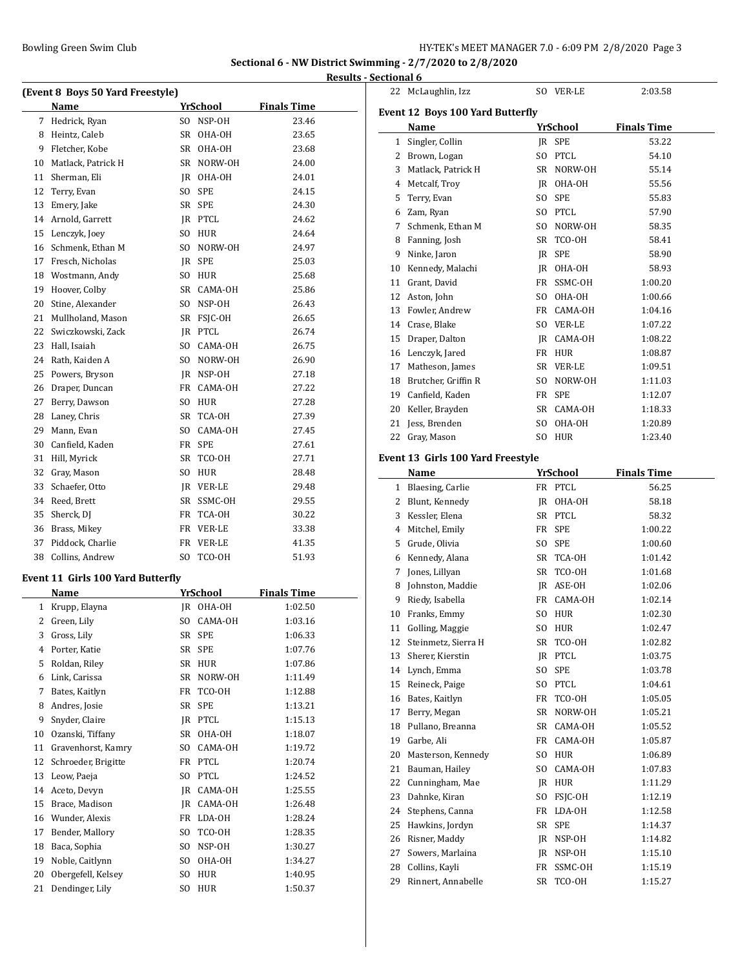# **Sectional 6 - NW District Swimming - 2/7/2020 to 2/8/2020 Results - Sectional 6**

|    |                                          |                |                 |                    | result |
|----|------------------------------------------|----------------|-----------------|--------------------|--------|
|    | (Event 8 Boys 50 Yard Freestyle)         |                |                 |                    |        |
|    | Name                                     |                | YrSchool        | <b>Finals Time</b> |        |
| 7  | Hedrick, Ryan                            |                | SO NSP-OH       | 23.46              |        |
| 8  | Heintz, Caleb                            |                | SR OHA-OH       | 23.65              |        |
| 9  | Fletcher, Kobe                           |                | SR OHA-OH       | 23.68              |        |
| 10 | Matlack, Patrick H                       |                | SR NORW-OH      | 24.00              |        |
| 11 | Sherman, Eli                             |                | JR OHA-OH       | 24.01              |        |
| 12 | Terry, Evan                              | SO.            | <b>SPE</b>      | 24.15              |        |
| 13 | Emery, Jake                              |                | SR SPE          | 24.30              |        |
| 14 | Arnold, Garrett                          |                | JR PTCL         | 24.62              |        |
| 15 | Lenczyk, Joey                            |                | SO HUR          | 24.64              |        |
| 16 | Schmenk, Ethan M                         |                | SO NORW-OH      | 24.97              |        |
| 17 | Fresch, Nicholas                         |                | IR SPE          | 25.03              |        |
| 18 | Wostmann, Andy                           |                | SO HUR          | 25.68              |        |
| 19 | Hoover, Colby                            |                | SR CAMA-OH      | 25.86              |        |
| 20 | Stine, Alexander                         |                | SO NSP-OH       | 26.43              |        |
| 21 | Mullholand, Mason                        |                | SR FSJC-OH      | 26.65              |        |
| 22 | Swiczkowski, Zack                        |                | JR PTCL         | 26.74              |        |
| 23 | Hall, Isaiah                             |                | SO CAMA-OH      | 26.75              |        |
| 24 | Rath, Kaiden A                           |                | SO NORW-OH      | 26.90              |        |
| 25 | Powers, Bryson                           |                | JR NSP-OH       | 27.18              |        |
| 26 | Draper, Duncan                           |                | FR CAMA-OH      | 27.22              |        |
| 27 | Berry, Dawson                            |                | SO HUR          | 27.28              |        |
| 28 | Laney, Chris                             |                | SR TCA-OH       | 27.39              |        |
| 29 | Mann, Evan                               |                | SO CAMA-OH      | 27.45              |        |
| 30 | Canfield, Kaden                          |                | FR SPE          | 27.61              |        |
| 31 | Hill, Myrick                             |                | SR TCO-OH       | 27.71              |        |
| 32 | Gray, Mason                              |                | SO HUR          | 28.48              |        |
| 33 | Schaefer, Otto                           |                | JR VER-LE       | 29.48              |        |
| 34 | Reed, Brett                              |                | SR SSMC-OH      | 29.55              |        |
| 35 | Sherck, DJ                               |                | FR TCA-OH       | 30.22              |        |
| 36 | Brass, Mikey                             |                | FR VER-LE       | 33.38              |        |
| 37 | Piddock, Charlie                         |                | FR VER-LE       | 41.35              |        |
| 38 | Collins, Andrew                          | SO.            | TCO-OH          | 51.93              |        |
|    |                                          |                |                 |                    |        |
|    | <b>Event 11 Girls 100 Yard Butterfly</b> |                |                 |                    |        |
|    | Name                                     |                | <u>YrSchool</u> | <b>Finals Time</b> |        |
| 1  | Krupp, Elayna                            | JR             | OHA-OH          | 1:02.50            |        |
| 2  | Green, Lily                              | SO.            | CAMA-OH         | 1:03.16            |        |
| 3  | Gross, Lily                              | SR             | SPE             | 1:06.33            |        |
| 4  | Porter, Katie                            | SR             | SPE             | 1:07.76            |        |
| 5  | Roldan, Riley                            | SR             | HUR             | 1:07.86            |        |
| 6  | Link, Carissa                            | SR             | NORW-OH         | 1:11.49            |        |
| 7  | Bates, Kaitlyn                           | FR             | TCO-OH          | 1:12.88            |        |
| 8  | Andres, Josie                            | SR             | SPE             | 1:13.21            |        |
| 9  | Snyder, Claire                           | JR             | PTCL            | 1:15.13            |        |
| 10 | Ozanski, Tiffany                         | SR             | OHA-OH          | 1:18.07            |        |
| 11 | Gravenhorst, Kamry                       | SO             | CAMA-OH         | 1:19.72            |        |
| 12 | Schroeder, Brigitte                      | FR             | PTCL            | 1:20.74            |        |
| 13 | Leow, Paeja                              | SO.            | <b>PTCL</b>     | 1:24.52            |        |
| 14 | Aceto, Devyn                             | JR             | CAMA-OH         | 1:25.55            |        |
| 15 | Brace, Madison                           | JR             | CAMA-OH         | 1:26.48            |        |
| 16 | Wunder, Alexis                           | FR             | LDA-OH          | 1:28.24            |        |
| 17 | Bender, Mallory                          | SO.            | TCO-OH          | 1:28.35            |        |
| 18 | Baca, Sophia                             | SO.            | NSP-OH          | 1:30.27            |        |
| 19 | Noble, Caitlynn                          | SO.            | OHA-OH          | 1:34.27            |        |
| 20 | Obergefell, Kelsey                       | SO.            | HUR             | 1:40.95            |        |
| 21 | Dendinger, Lily                          | S <sub>O</sub> | HUR             | 1:50.37            |        |

|    | 22 McLaughlin, Izz                     |          | SO VER-LE         | 2:03.58            |  |  |  |  |  |
|----|----------------------------------------|----------|-------------------|--------------------|--|--|--|--|--|
|    | Event 12 Boys 100 Yard Butterfly       |          |                   |                    |  |  |  |  |  |
|    | <b>Finals Time</b><br>YrSchool<br>Name |          |                   |                    |  |  |  |  |  |
|    | 1 Singler, Collin                      |          | JR SPE            | 53.22              |  |  |  |  |  |
|    | 2 Brown, Logan                         |          | SO PTCL           | 54.10              |  |  |  |  |  |
|    | 3 Matlack, Patrick H                   |          | SR NORW-OH        | 55.14              |  |  |  |  |  |
| 4  | Metcalf, Troy                          |          | JR OHA-OH         | 55.56              |  |  |  |  |  |
| 5  | Terry, Evan                            | SO       | <b>SPE</b>        | 55.83              |  |  |  |  |  |
|    | 6 Zam, Ryan                            |          | SO PTCL           | 57.90              |  |  |  |  |  |
| 7  | Schmenk, Ethan M                       |          | SO NORW-OH        | 58.35              |  |  |  |  |  |
|    | 8 Fanning, Josh                        |          | SR TCO-OH         | 58.41              |  |  |  |  |  |
|    | 9 Ninke, Jaron                         |          | JR SPE            | 58.90              |  |  |  |  |  |
|    | 10 Kennedy, Malachi                    |          | JR OHA-OH         | 58.93              |  |  |  |  |  |
|    | 11 Grant, David                        |          | FR SSMC-OH        | 1:00.20            |  |  |  |  |  |
|    | 12 Aston, John                         |          | SO OHA-OH         | 1:00.66            |  |  |  |  |  |
|    | 13 Fowler, Andrew                      |          | FR CAMA-OH        | 1:04.16            |  |  |  |  |  |
|    | 14 Crase, Blake                        |          | SO VER-LE         | 1:07.22            |  |  |  |  |  |
|    | 15 Draper, Dalton                      |          | JR CAMA-OH        | 1:08.22            |  |  |  |  |  |
|    | 16 Lenczyk, Jared                      |          | FR HUR            | 1:08.87            |  |  |  |  |  |
|    | 17 Matheson, James                     |          | SR VER-LE         | 1:09.51            |  |  |  |  |  |
|    | 18 Brutcher, Griffin R                 |          | SO NORW-OH        | 1:11.03            |  |  |  |  |  |
|    | 19 Canfield, Kaden                     |          | FR SPE            | 1:12.07            |  |  |  |  |  |
|    | 20 Keller, Brayden                     |          | SR CAMA-OH        | 1:18.33            |  |  |  |  |  |
| 21 | Jess, Brenden                          |          | SO OHA-OH         | 1:20.89            |  |  |  |  |  |
| 22 | Gray, Mason                            |          | SO HUR            | 1:23.40            |  |  |  |  |  |
|    |                                        |          |                   |                    |  |  |  |  |  |
|    | Event 13 Girls 100 Yard Freestyle      |          |                   |                    |  |  |  |  |  |
|    | Name                                   |          | <u>YrSchool</u>   | <b>Finals Time</b> |  |  |  |  |  |
|    | 1 Blaesing, Carlie                     |          | FR PTCL           | 56.25              |  |  |  |  |  |
|    | 2 Blunt, Kennedy                       |          | JR OHA-OH         | 58.18              |  |  |  |  |  |
|    | 3 Kessler, Elena                       |          | SR PTCL           | 58.32              |  |  |  |  |  |
|    | 4 Mitchel, Emily                       |          | FR SPE            | 1:00.22            |  |  |  |  |  |
|    | 5 Grude, Olivia                        | SO.      | <b>SPE</b>        | 1:00.60            |  |  |  |  |  |
|    | 6 Kennedy, Alana                       |          | SR TCA-OH         | 1:01.42            |  |  |  |  |  |
|    | 7 Jones, Lillyan                       |          | SR TCO-OH         | 1:01.68            |  |  |  |  |  |
|    | 8 Johnston, Maddie                     |          | IR ASE-OH         | 1:02.06            |  |  |  |  |  |
|    | 9 Riedy, Isabella                      |          | FR CAMA-OH        | 1:02.14            |  |  |  |  |  |
|    | 10 Franks, Emmy                        |          | SO HUR            | 1:02.30            |  |  |  |  |  |
| 11 | Golling, Maggie                        | SO.      | HUR               | 1:02.47            |  |  |  |  |  |
| 12 | Steinmetz, Sierra H                    | SR       | TCO-OH            | 1:02.82            |  |  |  |  |  |
| 13 | Sherer, Kierstin                       |          | JR PTCL           | 1:03.75            |  |  |  |  |  |
| 14 | Lynch, Emma                            | SO       | SPE               | 1:03.78            |  |  |  |  |  |
| 15 | Reineck, Paige                         | SO       | PTCL              | 1:04.61            |  |  |  |  |  |
| 16 | Bates, Kaitlyn                         | FR       | TCO-OH            | 1:05.05            |  |  |  |  |  |
| 17 | Berry, Megan                           | SR       | NORW-OH           | 1:05.21            |  |  |  |  |  |
| 18 | Pullano, Breanna                       | SR       | CAMA-OH           | 1:05.52            |  |  |  |  |  |
| 19 | Garbe, Ali                             | FR       | CAMA-OH           | 1:05.87            |  |  |  |  |  |
| 20 | Masterson, Kennedy                     | SO       | HUR               | 1:06.89            |  |  |  |  |  |
| 21 | Bauman, Hailey                         | SO       | CAMA-OH           | 1:07.83            |  |  |  |  |  |
| 22 | Cunningham, Mae                        | IR       | HUR               | 1:11.29            |  |  |  |  |  |
| 23 | Dahnke, Kiran                          | SO       | FSJC-OH           | 1:12.19            |  |  |  |  |  |
| 24 | Stephens, Canna                        |          | FR LDA-OH         | 1:12.58            |  |  |  |  |  |
| 25 | Hawkins, Jordyn                        | SR       | <b>SPE</b>        | 1:14.37            |  |  |  |  |  |
| 26 | Risner, Maddy                          | JR.      | NSP-OH            | 1:14.82            |  |  |  |  |  |
| 27 | Sowers, Marlaina                       | JR       | NSP-OH            | 1:15.10            |  |  |  |  |  |
| 28 | Collins, Kayli                         | FR<br>SR | SSMC-OH<br>TCO-OH | 1:15.19<br>1:15.27 |  |  |  |  |  |
| 29 | Rinnert, Annabelle                     |          |                   |                    |  |  |  |  |  |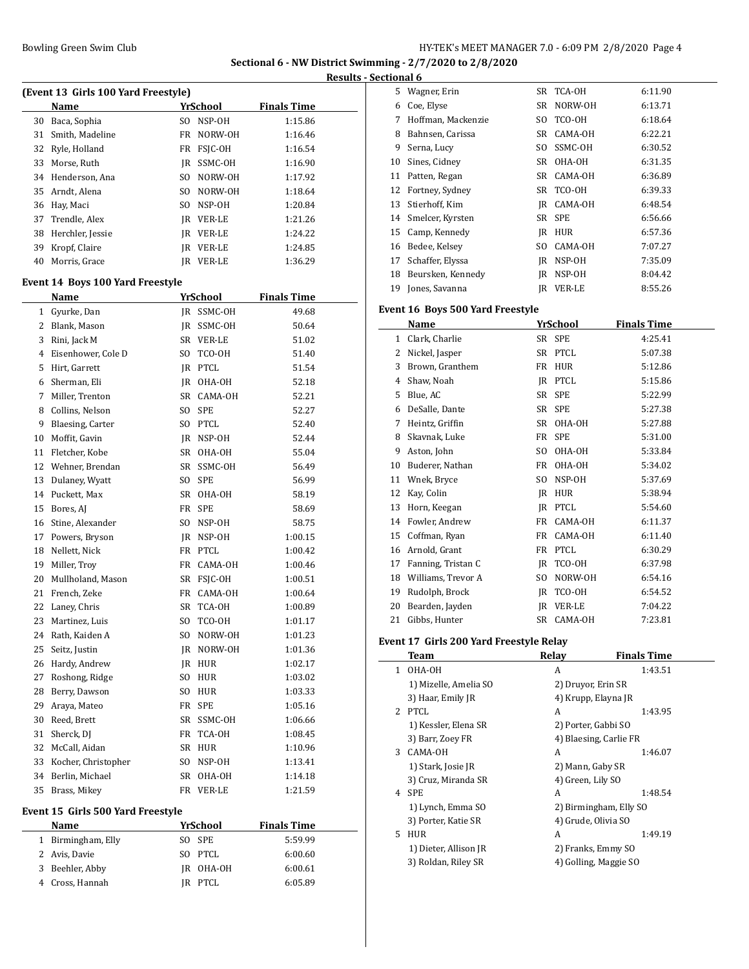#### Bowling Green Swim Club **HY-TEK's MEET MANAGER 7.0 - 6:09 PM 2/8/2020** Page 4

**Sectional 6 - NW District Swimming - 2/7/2020 to 2/8/2020 Results - Sectional 6**

|                | (Event 13 Girls 100 Yard Freestyle)             |     |                 |                    |  |
|----------------|-------------------------------------------------|-----|-----------------|--------------------|--|
|                | Name                                            |     | YrSchool        | <b>Finals Time</b> |  |
| 30             | Baca, Sophia                                    |     | SO NSP-OH       | 1:15.86            |  |
| 31             | Smith, Madeline                                 |     | FR NORW-OH      | 1:16.46            |  |
| 32             | Ryle, Holland                                   |     | FR FSJC-OH      | 1:16.54            |  |
| 33             | Morse, Ruth                                     |     | JR SSMC-OH      | 1:16.90            |  |
| 34             | Henderson, Ana                                  |     | SO NORW-OH      | 1:17.92            |  |
| 35             | Arndt, Alena                                    |     | SO NORW-OH      | 1:18.64            |  |
| 36             | Hay, Maci                                       |     | SO NSP-OH       | 1:20.84            |  |
| 37             | Trendle, Alex                                   |     | IR VER-LE       | 1:21.26            |  |
| 38             | Herchler, Jessie                                |     | JR VER-LE       | 1:24.22            |  |
| 39             | Kropf, Claire                                   |     | JR VER-LE       | 1:24.85            |  |
| 40             | Morris, Grace                                   |     | JR VER-LE       | 1:36.29            |  |
|                |                                                 |     |                 |                    |  |
|                | Event 14 Boys 100 Yard Freestyle<br><b>Name</b> |     | <b>YrSchool</b> | <b>Finals Time</b> |  |
| $\mathbf{1}$   | Gyurke, Dan                                     |     | JR SSMC-OH      | 49.68              |  |
|                | 2 Blank, Mason                                  |     | JR SSMC-OH      | 50.64              |  |
| 3              |                                                 |     |                 |                    |  |
|                | Rini, Jack M                                    |     | SR VER-LE       | 51.02              |  |
| $\overline{4}$ | Eisenhower, Cole D                              | SO. | TCO-OH          | 51.40              |  |
| 5              | Hirt, Garrett                                   |     | JR PTCL         | 51.54              |  |
| 6              | Sherman, Eli                                    |     | JR OHA-OH       | 52.18              |  |
| 7              | Miller, Trenton                                 |     | SR CAMA-OH      | 52.21              |  |
| 8              | Collins, Nelson                                 |     | SO SPE          | 52.27              |  |
| 9              | Blaesing, Carter                                |     | SO PTCL         | 52.40              |  |
| 10             | Moffit, Gavin                                   |     | JR NSP-OH       | 52.44              |  |
| 11             | Fletcher, Kobe                                  |     | SR OHA-OH       | 55.04              |  |
| 12             | Wehner, Brendan                                 |     | SR SSMC-OH      | 56.49              |  |
| 13             | Dulaney, Wyatt                                  |     | SO SPE          | 56.99              |  |
| 14             | Puckett, Max                                    |     | SR OHA-OH       | 58.19              |  |
| 15             | Bores, AJ                                       |     | FR SPE          | 58.69              |  |
| 16             | Stine, Alexander                                |     | SO NSP-OH       | 58.75              |  |
| 17             | Powers, Bryson                                  |     | JR NSP-OH       | 1:00.15            |  |
| 18             | Nellett, Nick                                   |     | FR PTCL         | 1:00.42            |  |
| 19             | Miller, Troy                                    |     | FR CAMA-OH      | 1:00.46            |  |
| 20             | Mullholand, Mason                               |     | SR FSJC-OH      | 1:00.51            |  |
| 21             | French, Zeke                                    |     | FR CAMA-OH      | 1:00.64            |  |
| 22             | Laney, Chris                                    |     | SR TCA-OH       | 1:00.89            |  |
| 23             | Martinez, Luis                                  | SO. | TCO-OH          | 1:01.17            |  |
|                | 24 Rath, Kaiden A                               |     | SO NORW-OH      | 1:01.23            |  |
| 25             | Seitz, Justin                                   |     | IR NORW-OH      | 1:01.36            |  |
| 26             | Hardy, Andrew                                   |     | JR HUR          | 1:02.17            |  |
| 27             | Roshong, Ridge                                  |     | SO HUR          | 1:03.02            |  |
| 28             | Berry, Dawson                                   | SO. | HUR             | 1:03.33            |  |
| 29             | Araya, Mateo                                    |     | FR SPE          | 1:05.16            |  |
| 30             | Reed, Brett                                     | SR  | SSMC-OH         | 1:06.66            |  |
| 31             | Sherck, DJ                                      |     | FR TCA-OH       | 1:08.45            |  |
| 32             | McCall, Aidan                                   | SR  | HUR             | 1:10.96            |  |
| 33             | Kocher, Christopher                             | SO. | NSP-OH          | 1:13.41            |  |
| 34             | Berlin, Michael                                 | SR  | OHA-OH          | 1:14.18            |  |
| 35             | Brass, Mikey                                    | FR  | <b>VER-LE</b>   | 1:21.59            |  |
|                |                                                 |     |                 |                    |  |

| <b>Name</b>         | YrSchool  | <b>Finals Time</b> |
|---------------------|-----------|--------------------|
| 1 Birmingham, Elly  | SO SPE    | 5:59.99            |
| 2 Avis, Davie       | SO PTCL   | 6:00.60            |
| Beehler, Abby<br>3. | IR OHA-OH | 6:00.61            |
| 4 Cross, Hannah     | IR PTCL   | 6:05.89            |
|                     |           |                    |

| uvuai v |                    |     |            |         |
|---------|--------------------|-----|------------|---------|
| 5.      | Wagner, Erin       | SR  | TCA-OH     | 6:11.90 |
| 6       | Coe, Elyse         | SR  | NORW-OH    | 6:13.71 |
| 7       | Hoffman, Mackenzie | SO. | TCO-OH     | 6:18.64 |
| 8       | Bahnsen, Carissa   | SR  | CAMA-OH    | 6:22.21 |
| 9       | Serna, Lucy        | SO. | SSMC-OH    | 6:30.52 |
| 10      | Sines, Cidney      | SR  | OHA-OH     | 6:31.35 |
| 11      | Patten, Regan      | SR  | CAMA-OH    | 6:36.89 |
| 12      | Fortney, Sydney    | SR  | TCO-OH     | 6:39.33 |
| 13      | Stierhoff, Kim     | IR  | CAMA-OH    | 6:48.54 |
| 14      | Smelcer, Kyrsten   | SR  | <b>SPE</b> | 6:56.66 |
| 15      | Camp, Kennedy      | IR  | <b>HUR</b> | 6:57.36 |
| 16      | Bedee, Kelsey      | SO. | CAMA-OH    | 7:07.27 |
| 17      | Schaffer, Elyssa   | IR  | NSP-OH     | 7:35.09 |
| 18      | Beursken, Kennedy  | IR  | NSP-OH     | 8:04.42 |
| 19      | Jones, Savanna     | IR  | VER-LE     | 8:55.26 |

### **Event 16 Boys 500 Yard Freestyle**

|    | Name               |                | YrSchool   | <b>Finals Time</b> |
|----|--------------------|----------------|------------|--------------------|
| 1  | Clark, Charlie     |                | SR SPE     | 4:25.41            |
| 2  | Nickel, Jasper     | SR             | PTCL       | 5:07.38            |
| 3  | Brown, Granthem    | FR             | <b>HUR</b> | 5:12.86            |
| 4  | Shaw, Noah         | IR             | PTCL       | 5:15.86            |
| 5  | Blue, AC           | SR             | <b>SPE</b> | 5:22.99            |
| 6  | DeSalle, Dante     | SR             | <b>SPE</b> | 5:27.38            |
| 7  | Heintz, Griffin    | SR             | OHA-OH     | 5:27.88            |
| 8  | Skavnak, Luke      | <b>FR</b>      | <b>SPE</b> | 5:31.00            |
| 9  | Aston, John        | S <sub>O</sub> | OHA-OH     | 5:33.84            |
| 10 | Buderer, Nathan    | <b>FR</b>      | OHA-OH     | 5:34.02            |
| 11 | Wnek, Bryce        | SO.            | NSP-OH     | 5:37.69            |
| 12 | Kay, Colin         | IR             | <b>HUR</b> | 5:38.94            |
| 13 | Horn, Keegan       | IR             | PTCL       | 5:54.60            |
| 14 | Fowler, Andrew     | FR             | CAMA-OH    | 6:11.37            |
| 15 | Coffman, Ryan      | FR             | CAMA-OH    | 6:11.40            |
| 16 | Arnold, Grant      | FR             | PTCL       | 6:30.29            |
| 17 | Fanning, Tristan C | IR             | TCO-OH     | 6:37.98            |
| 18 | Williams, Trevor A | SO.            | NORW-OH    | 6:54.16            |
| 19 | Rudolph, Brock     | IR             | TCO-OH     | 6:54.52            |
| 20 | Bearden, Jayden    | IR             | VER-LE     | 7:04.22            |
| 21 | Gibbs, Hunter      | SR             | CAMA-OH    | 7:23.81            |

# **Event 17 Girls 200 Yard Freestyle Relay**

|    | Team                  | Relay                  | <b>Finals Time</b> |
|----|-----------------------|------------------------|--------------------|
| 1  | OHA-OH                | A                      | 1:43.51            |
|    | 1) Mizelle, Amelia SO | 2) Druyor, Erin SR     |                    |
|    | 3) Haar, Emily JR     | 4) Krupp, Elayna JR    |                    |
| 2  | <b>PTCL</b>           | A                      | 1:43.95            |
|    | 1) Kessler, Elena SR  | 2) Porter, Gabbi SO    |                    |
|    | 3) Barr, Zoey FR      | 4) Blaesing, Carlie FR |                    |
| 3  | CAMA-OH               | A                      | 1:46.07            |
|    | 1) Stark, Josie JR    | 2) Mann, Gaby SR       |                    |
|    | 3) Cruz, Miranda SR   | 4) Green, Lily SO      |                    |
| 4  | <b>SPE</b>            | A                      | 1:48.54            |
|    | 1) Lynch, Emma SO     | 2) Birmingham, Elly SO |                    |
|    | 3) Porter, Katie SR   | 4) Grude, Olivia SO    |                    |
| 5. | <b>HUR</b>            | A                      | 1:49.19            |
|    | 1) Dieter, Allison JR | 2) Franks, Emmy SO     |                    |
|    | 3) Roldan, Riley SR   | 4) Golling, Maggie SO  |                    |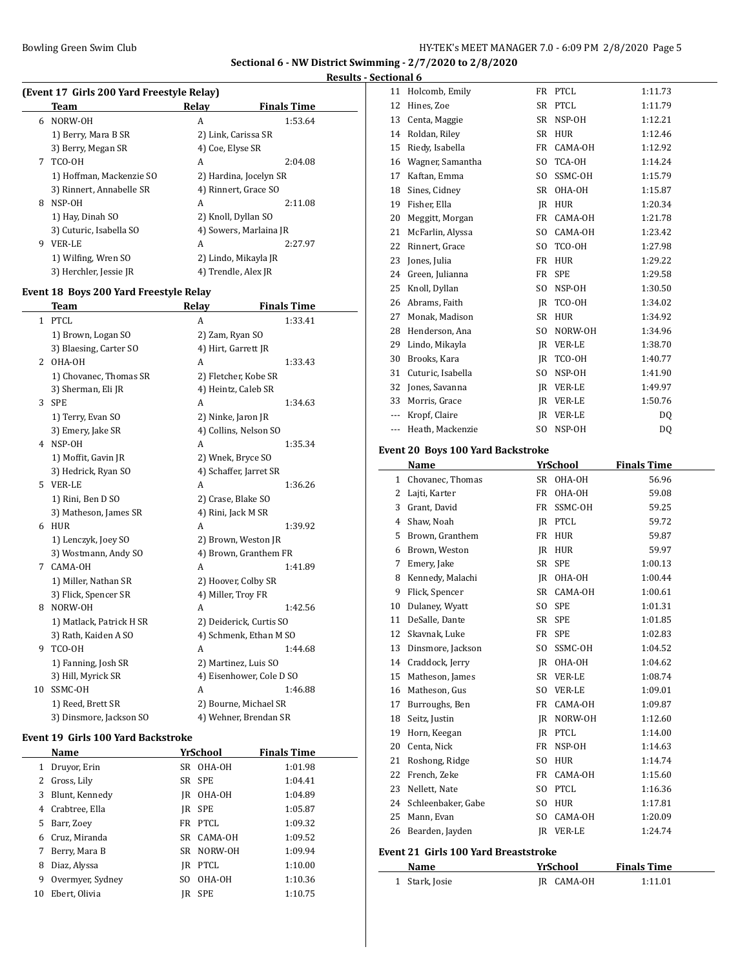#### **Results - Sectional 6**

|   | (Event 17 Girls 200 Yard Freestyle Relay) |                  |                        |  |  |
|---|-------------------------------------------|------------------|------------------------|--|--|
|   | Team                                      | Relay            | <b>Finals Time</b>     |  |  |
| 6 | NORW-OH                                   | A                | 1:53.64                |  |  |
|   | 1) Berry, Mara B SR                       |                  | 2) Link, Carissa SR    |  |  |
|   | 3) Berry, Megan SR                        | 4) Coe, Elyse SR |                        |  |  |
| 7 | TCO-OH                                    | A                | 2:04.08                |  |  |
|   | 1) Hoffman, Mackenzie SO                  |                  | 2) Hardina, Jocelyn SR |  |  |
|   | 3) Rinnert, Annabelle SR                  |                  | 4) Rinnert, Grace SO   |  |  |
| 8 | NSP-OH                                    | A                | 2:11.08                |  |  |
|   | 1) Hay, Dinah SO                          |                  | 2) Knoll, Dyllan SO    |  |  |
|   | 3) Cuturic, Isabella SO                   |                  | 4) Sowers, Marlaina JR |  |  |
| 9 | <b>VER-LE</b>                             | A                | 2:27.97                |  |  |
|   | 1) Wilfing, Wren SO                       |                  | 2) Lindo, Mikayla JR   |  |  |
|   | 3) Herchler, Jessie JR                    |                  | 4) Trendle, Alex JR    |  |  |
|   |                                           |                  |                        |  |  |

### **Event 18 Boys 200 Yard Freestyle Relay**

|    | Team                     | Relay                | <b>Finals Time</b>       |  |
|----|--------------------------|----------------------|--------------------------|--|
| 1  | <b>PTCL</b>              | A                    | 1:33.41                  |  |
|    | 1) Brown, Logan SO       | 2) Zam, Ryan SO      |                          |  |
|    | 3) Blaesing, Carter SO   | 4) Hirt, Garrett JR  |                          |  |
| 2  | OHA-OH                   | A                    | 1:33.43                  |  |
|    | 1) Chovanec, Thomas SR   | 2) Fletcher, Kobe SR |                          |  |
|    | 3) Sherman, Eli JR       | 4) Heintz, Caleb SR  |                          |  |
| 3  | <b>SPE</b>               | A                    | 1:34.63                  |  |
|    | 1) Terry, Evan SO        | 2) Ninke, Jaron JR   |                          |  |
|    | 3) Emery, Jake SR        |                      | 4) Collins, Nelson SO    |  |
| 4  | NSP-OH                   | A                    | 1:35.34                  |  |
|    | 1) Moffit, Gavin JR      | 2) Wnek, Bryce SO    |                          |  |
|    | 3) Hedrick, Ryan SO      |                      | 4) Schaffer, Jarret SR   |  |
| 5. | <b>VER-LE</b>            | A                    | 1:36.26                  |  |
|    | 1) Rini, Ben D SO        | 2) Crase, Blake SO   |                          |  |
|    | 3) Matheson, James SR    | 4) Rini, Jack M SR   |                          |  |
| 6  | <b>HUR</b>               | A                    | 1:39.92                  |  |
|    | 1) Lenczyk, Joey SO      |                      | 2) Brown, Weston JR      |  |
|    | 3) Wostmann, Andy SO     |                      | 4) Brown, Granthem FR    |  |
| 7  | CAMA-OH                  | A                    | 1:41.89                  |  |
|    | 1) Miller, Nathan SR     | 2) Hoover, Colby SR  |                          |  |
|    | 3) Flick, Spencer SR     | 4) Miller, Troy FR   |                          |  |
| 8  | NORW-OH                  | A                    | 1:42.56                  |  |
|    | 1) Matlack, Patrick H SR |                      | 2) Deiderick, Curtis SO  |  |
|    | 3) Rath, Kaiden A SO     |                      | 4) Schmenk, Ethan M SO   |  |
| 9  | TCO-OH                   | A                    | 1:44.68                  |  |
|    | 1) Fanning, Josh SR      | 2) Martinez, Luis SO |                          |  |
|    | 3) Hill, Myrick SR       |                      | 4) Eisenhower, Cole D SO |  |
| 10 | SSMC-OH                  | A                    | 1:46.88                  |  |
|    | 1) Reed, Brett SR        |                      | 2) Bourne, Michael SR    |  |
|    | 3) Dinsmore, Jackson SO  |                      | 4) Wehner, Brendan SR    |  |

#### **Event 19 Girls 100 Yard Backstroke**

 $\overline{a}$ 

|    | Name             |     | YrSchool    | <b>Finals Time</b> |
|----|------------------|-----|-------------|--------------------|
|    | Druyor, Erin     |     | SR OHA-OH   | 1:01.98            |
| 2  | Gross, Lily      |     | SR SPE      | 1:04.41            |
| 3  | Blunt, Kennedy   |     | IR OHA-OH   | 1:04.89            |
| 4  | Crabtree, Ella   | IR  | <b>SPE</b>  | 1:05.87            |
| 5. | Barr, Zoey       |     | FR PTCL     | 1:09.32            |
| 6. | Cruz, Miranda    |     | SR CAMA-OH  | 1:09.52            |
|    | Berry, Mara B    |     | SR NORW-OH  | 1:09.94            |
| 8  | Diaz, Alyssa     | IR  | <b>PTCL</b> | 1:10.00            |
| 9  | Overmyer, Sydney | SO. | OHA-OH      | 1:10.36            |
| 10 | Ebert, Olivia    | IR  | <b>SPE</b>  | 1:10.75            |

| 11      | Holcomb, Emily    |                | FR PTCL       | 1:11.73 |
|---------|-------------------|----------------|---------------|---------|
| 12      | Hines, Zoe        | SR             | <b>PTCL</b>   | 1:11.79 |
| 13      | Centa, Maggie     | SR             | NSP-OH        | 1:12.21 |
| 14      | Roldan, Rilev     | SR             | <b>HUR</b>    | 1:12.46 |
| 15      | Riedy, Isabella   | FR             | CAMA-OH       | 1:12.92 |
| 16      | Wagner, Samantha  | S <sub>0</sub> | TCA-OH        | 1:14.24 |
| 17      | Kaftan, Emma      | S <sub>O</sub> | SSMC-OH       | 1:15.79 |
| 18      | Sines, Cidney     | SR             | OHA-OH        | 1:15.87 |
| 19      | Fisher, Ella      | IR             | <b>HUR</b>    | 1:20.34 |
| 20      | Meggitt, Morgan   | FR             | CAMA-OH       | 1:21.78 |
| 21      | McFarlin, Alyssa  | S <sub>0</sub> | CAMA-OH       | 1:23.42 |
| 22      | Rinnert, Grace    | S <sub>O</sub> | TCO-OH        | 1:27.98 |
| 23      | Jones, Julia      | FR             | <b>HUR</b>    | 1:29.22 |
| 24      | Green, Julianna   | FR             | <b>SPE</b>    | 1:29.58 |
| 25      | Knoll, Dyllan     | SO.            | NSP-OH        | 1:30.50 |
| 26      | Abrams, Faith     | IR.            | TCO-OH        | 1:34.02 |
| 27      | Monak, Madison    | SR             | <b>HUR</b>    | 1:34.92 |
| 28      | Henderson, Ana    | S <sub>O</sub> | NORW-OH       | 1:34.96 |
| 29      | Lindo, Mikayla    | IR.            | VER-LE        | 1:38.70 |
| 30      | Brooks, Kara      | IR.            | TCO-OH        | 1:40.77 |
| 31      | Cuturic, Isabella | SO.            | NSP-OH        | 1:41.90 |
| 32      | Jones, Savanna    | IR.            | <b>VER-LE</b> | 1:49.97 |
| 33      | Morris, Grace     | <b>IR</b>      | <b>VER-LE</b> | 1:50.76 |
| ---     | Kropf, Claire     | IR             | <b>VER-LE</b> | DO.     |
| $- - -$ | Heath, Mackenzie  | S <sub>O</sub> | NSP-OH        | DQ      |

#### **Event 20 Boys 100 Yard Backstroke**

|    | Name               |                | YrSchool         | <b>Finals Time</b> |
|----|--------------------|----------------|------------------|--------------------|
| 1  | Chovanec, Thomas   | SR             | OHA-OH           | 56.96              |
| 2  | Lajti, Karter      | FR             | OHA-OH           | 59.08              |
| 3  | Grant, David       | FR             | SSMC-OH          | 59.25              |
| 4  | Shaw, Noah         |                | IR PTCL          | 59.72              |
| 5  | Brown. Granthem    | FR             | <b>HUR</b>       | 59.87              |
| 6  | Brown, Weston      | IR             | <b>HUR</b>       | 59.97              |
| 7  | Emery, Jake        | SR             | <b>SPE</b>       | 1:00.13            |
| 8  | Kennedy, Malachi   | IR             | OHA-OH           | 1:00.44            |
| 9  | Flick, Spencer     | SR             | CAMA-OH          | 1:00.61            |
| 10 | Dulaney, Wyatt     | SO.            | <b>SPE</b>       | 1:01.31            |
| 11 | DeSalle, Dante     | SR             | <b>SPE</b>       | 1:01.85            |
| 12 | Skavnak, Luke      | FR             | <b>SPE</b>       | 1:02.83            |
| 13 | Dinsmore, Jackson  | SO.            | SSMC-OH          | 1:04.52            |
| 14 | Craddock, Jerry    | IR             | OHA-OH           | 1:04.62            |
| 15 | Matheson, James    | SR             | <b>VER-LE</b>    | 1:08.74            |
| 16 | Matheson, Gus      | SO.            | <b>VER-LE</b>    | 1:09.01            |
| 17 | Burroughs, Ben     | FR             | CAMA-OH          | 1:09.87            |
| 18 | Seitz, Justin      | IR             | NORW-OH          | 1:12.60            |
| 19 | Horn, Keegan       | IR             | PTCL             | 1:14.00            |
| 20 | Centa, Nick        | FR             | NSP-OH           | 1:14.63            |
| 21 | Roshong, Ridge     | S <sub>O</sub> | <b>HUR</b>       | 1:14.74            |
| 22 | French, Zeke       | FR             | CAMA-OH          | 1:15.60            |
| 23 | Nellett, Nate      | S <sub>O</sub> | PTCL             | 1:16.36            |
| 24 | Schleenbaker, Gabe | SO.            | <b>HUR</b>       | 1:17.81            |
| 25 | Mann, Evan         | SO.            | CAMA-OH          | 1:20.09            |
| 26 | Bearden, Jayden    |                | <b>IR VER-LE</b> | 1:24.74            |
|    |                    |                |                  |                    |

#### **Event 21 Girls 100 Yard Breaststroke**

| Name           | YrSchool   | <b>Finals Time</b> |  |
|----------------|------------|--------------------|--|
| 1 Stark, Josie | IR CAMA-OH | 1:11.01            |  |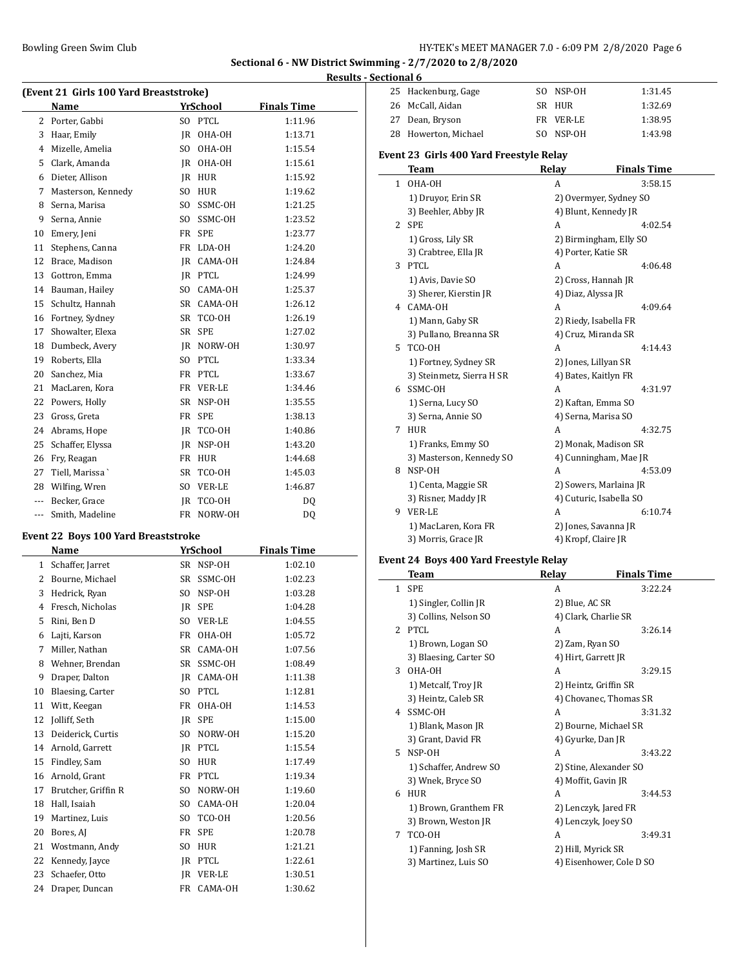## **Sectional 6 - NW District Swimming - 2/7/2020 to 2/8/2020 Results - Sectional 6**

|                                        |                    |                |                 |                    | ncəuna |
|----------------------------------------|--------------------|----------------|-----------------|--------------------|--------|
| (Event 21 Girls 100 Yard Breaststroke) |                    |                |                 |                    |        |
|                                        | Name               |                | <b>YrSchool</b> | <b>Finals Time</b> |        |
| 2                                      | Porter, Gabbi      |                | SO PTCL         | 1:11.96            |        |
| 3                                      | Haar, Emily        |                | IR OHA-OH       | 1:13.71            |        |
| 4                                      | Mizelle, Amelia    | SO.            | OHA-OH          | 1:15.54            |        |
| 5                                      | Clark, Amanda      |                | JR OHA-OH       | 1:15.61            |        |
| 6                                      | Dieter, Allison    | IR             | <b>HUR</b>      | 1:15.92            |        |
| 7                                      | Masterson, Kennedy | S <sub>O</sub> | <b>HUR</b>      | 1:19.62            |        |
| 8                                      | Serna, Marisa      |                | SO SSMC-OH      | 1:21.25            |        |
| 9                                      | Serna, Annie       | SO.            | SSMC-OH         | 1:23.52            |        |
| 10                                     | Emery, Jeni        | FR             | <b>SPE</b>      | 1:23.77            |        |
| 11                                     | Stephens, Canna    | FR             | LDA-OH          | 1:24.20            |        |
| 12                                     | Brace, Madison     | IR             | CAMA-OH         | 1:24.84            |        |
| 13                                     | Gottron, Emma      | IR             | PTCL            | 1:24.99            |        |
| 14                                     | Bauman, Hailey     |                | SO CAMA-OH      | 1:25.37            |        |
| 15                                     | Schultz, Hannah    |                | SR CAMA-OH      | 1:26.12            |        |
| 16                                     | Fortney, Sydney    | SR             | TCO-OH          | 1:26.19            |        |
| 17                                     | Showalter, Elexa   | SR             | <b>SPE</b>      | 1:27.02            |        |
| 18                                     | Dumbeck, Avery     | IR             | NORW-OH         | 1:30.97            |        |
| 19                                     | Roberts, Ella      | S <sub>O</sub> | PTCL            | 1:33.34            |        |
| 20                                     | Sanchez, Mia       |                | FR PTCL         | 1:33.67            |        |
| 21                                     | MacLaren, Kora     |                | FR VER-LE       | 1:34.46            |        |
| 22                                     | Powers, Holly      | <b>SR</b>      | NSP-OH          | 1:35.55            |        |
| 23                                     | Gross, Greta       | FR             | <b>SPE</b>      | 1:38.13            |        |
| 24                                     | Abrams, Hope       | IR             | TCO-OH          | 1:40.86            |        |
| 25                                     | Schaffer, Elyssa   | IR             | NSP-OH          | 1:43.20            |        |
| 26                                     | Fry, Reagan        | FR             | <b>HUR</b>      | 1:44.68            |        |
| 27                                     | Tiell, Marissa     | SR             | TCO-OH          | 1:45.03            |        |
| 28                                     | Wilfing, Wren      | S <sub>O</sub> | <b>VER-LE</b>   | 1:46.87            |        |
| ---                                    | Becker, Grace      | IR             | TCO-OH          | DQ                 |        |
|                                        | Smith, Madeline    | <b>FR</b>      | NORW-OH         | DQ                 |        |
|                                        |                    |                |                 |                    |        |

## **Event 22 Boys 100 Yard Breaststroke**

 $\overline{\phantom{a}}$ 

|              | Name                |                | YrSchool      | <b>Finals Time</b> |
|--------------|---------------------|----------------|---------------|--------------------|
| $\mathbf{1}$ | Schaffer, Jarret    | SR             | NSP-OH        | 1:02.10            |
| 2            | Bourne, Michael     | SR             | SSMC-OH       | 1:02.23            |
| 3            | Hedrick, Ryan       | SO.            | NSP-OH        | 1:03.28            |
| 4            | Fresch, Nicholas    | IR             | <b>SPE</b>    | 1:04.28            |
| 5            | Rini, Ben D         | S <sub>0</sub> | <b>VER-LE</b> | 1:04.55            |
| 6            | Lajti, Karson       | FR             | OHA-OH        | 1:05.72            |
| 7            | Miller, Nathan      | SR             | CAMA-OH       | 1:07.56            |
| 8            | Wehner, Brendan     | SR             | SSMC-OH       | 1:08.49            |
| 9            | Draper, Dalton      | <b>IR</b>      | CAMA-OH       | 1:11.38            |
| 10           | Blaesing, Carter    | S <sub>O</sub> | <b>PTCL</b>   | 1:12.81            |
| 11           | Witt, Keegan        | FR             | OHA-OH        | 1:14.53            |
| 12           | Jolliff, Seth       | IR             | <b>SPE</b>    | 1:15.00            |
| 13           | Deiderick, Curtis   | S <sub>O</sub> | NORW-OH       | 1:15.20            |
| 14           | Arnold, Garrett     | <b>IR</b>      | PTCL          | 1:15.54            |
| 15           | Findley, Sam        | S <sub>O</sub> | <b>HUR</b>    | 1:17.49            |
| 16           | Arnold, Grant       | FR             | <b>PTCL</b>   | 1:19.34            |
| 17           | Brutcher, Griffin R | S <sub>O</sub> | NORW-OH       | 1:19.60            |
| 18           | Hall, Isaiah        | SO.            | CAMA-OH       | 1:20.04            |
| 19           | Martinez, Luis      | SO.            | TCO-OH        | 1:20.56            |
| 20           | Bores, AJ           | FR             | <b>SPE</b>    | 1:20.78            |
| 21           | Wostmann, Andy      | SO.            | <b>HUR</b>    | 1:21.21            |
| 22           | Kennedy, Jayce      | <b>IR</b>      | PTCL          | 1:22.61            |
| 23           | Schaefer, Otto      | JR.            | <b>VER-LE</b> | 1:30.51            |
| 24           | Draper, Duncan      | FR             | CAMA-OH       | 1:30.62            |

| 25 Hackenburg, Gage  | SO NSP-OH | 1:31.45 |
|----------------------|-----------|---------|
| 26 McCall, Aidan     | SR HUR    | 1:32.69 |
| 27 Dean, Bryson      | FR VER-LE | 1:38.95 |
| 28 Howerton, Michael | SO NSP-OH | 1:43.98 |

# **Event 23 Girls 400 Yard Freestyle Relay**

|    | <b>Team</b>               | Relay                 | <b>Finals Time</b>      |
|----|---------------------------|-----------------------|-------------------------|
| 1  | OHA-OH                    | A                     | 3:58.15                 |
|    | 1) Druyor, Erin SR        |                       | 2) Overmyer, Sydney SO  |
|    | 3) Beehler, Abby JR       |                       | 4) Blunt, Kennedy JR    |
| 2  | <b>SPE</b>                | A                     | 4:02.54                 |
|    | 1) Gross, Lily SR         |                       | 2) Birmingham, Elly SO  |
|    | 3) Crabtree, Ella JR      | 4) Porter, Katie SR   |                         |
| 3  | PTCL                      | A                     | 4:06.48                 |
|    | 1) Avis, Davie SO         | 2) Cross, Hannah JR   |                         |
|    | 3) Sherer, Kierstin JR    | 4) Diaz, Alyssa JR    |                         |
| 4  | CAMA-OH                   | A                     | 4:09.64                 |
|    | 1) Mann, Gaby SR          | 2) Riedy, Isabella FR |                         |
|    | 3) Pullano, Breanna SR    | 4) Cruz, Miranda SR   |                         |
| 5. | TCO-OH                    | A                     | 4:14.43                 |
|    | 1) Fortney, Sydney SR     | 2) Jones, Lillyan SR  |                         |
|    | 3) Steinmetz, Sierra H SR | 4) Bates, Kaitlyn FR  |                         |
| 6. | SSMC-OH                   | A                     | 4:31.97                 |
|    | 1) Serna, Lucy SO         | 2) Kaftan, Emma SO    |                         |
|    | 3) Serna, Annie SO        | 4) Serna, Marisa SO   |                         |
| 7  | <b>HUR</b>                | A                     | 4:32.75                 |
|    | 1) Franks, Emmy SO        |                       | 2) Monak, Madison SR    |
|    | 3) Masterson, Kennedy SO  |                       | 4) Cunningham, Mae JR   |
| 8  | NSP-OH                    | A                     | 4:53.09                 |
|    | 1) Centa, Maggie SR       |                       | 2) Sowers, Marlaina JR  |
|    | 3) Risner, Maddy JR       |                       | 4) Cuturic, Isabella SO |
| 9  | <b>VER-LE</b>             | A                     | 6:10.74                 |
|    | 1) MacLaren, Kora FR      | 2) Jones, Savanna JR  |                         |
|    | 3) Morris, Grace JR       | 4) Kropf, Claire JR   |                         |

# **Event 24 Boys 400 Yard Freestyle Relay**

|                | Team                   | Relay                    | <b>Finals Time</b> |
|----------------|------------------------|--------------------------|--------------------|
| $\mathbf{1}$   | <b>SPE</b>             | A                        | 3:22.24            |
|                | 1) Singler, Collin JR  | 2) Blue, AC SR           |                    |
|                | 3) Collins, Nelson SO  | 4) Clark, Charlie SR     |                    |
| $\overline{2}$ | <b>PTCL</b>            | A                        | 3:26.14            |
|                | 1) Brown, Logan SO     | 2) Zam, Ryan SO          |                    |
|                | 3) Blaesing, Carter SO | 4) Hirt, Garrett JR      |                    |
| 3              | OHA-OH                 | A                        | 3:29.15            |
|                | 1) Metcalf, Troy JR    | 2) Heintz, Griffin SR    |                    |
|                | 3) Heintz, Caleb SR    | 4) Chovanec, Thomas SR   |                    |
| 4              | SSMC-OH                | A                        | 3:31.32            |
|                | 1) Blank, Mason JR     | 2) Bourne, Michael SR    |                    |
|                | 3) Grant, David FR     | 4) Gyurke, Dan JR        |                    |
| 5.             | NSP-OH                 | A                        | 3:43.22            |
|                | 1) Schaffer, Andrew SO | 2) Stine, Alexander SO   |                    |
|                | 3) Wnek, Bryce SO      | 4) Moffit, Gavin JR      |                    |
| 6              | <b>HUR</b>             | A                        | 3:44.53            |
|                | 1) Brown, Granthem FR  | 2) Lenczyk, Jared FR     |                    |
|                | 3) Brown, Weston JR    | 4) Lenczyk, Joey SO      |                    |
| 7              | TCO-OH                 | A                        | 3:49.31            |
|                | 1) Fanning, Josh SR    | 2) Hill, Myrick SR       |                    |
|                | 3) Martinez, Luis SO   | 4) Eisenhower, Cole D SO |                    |